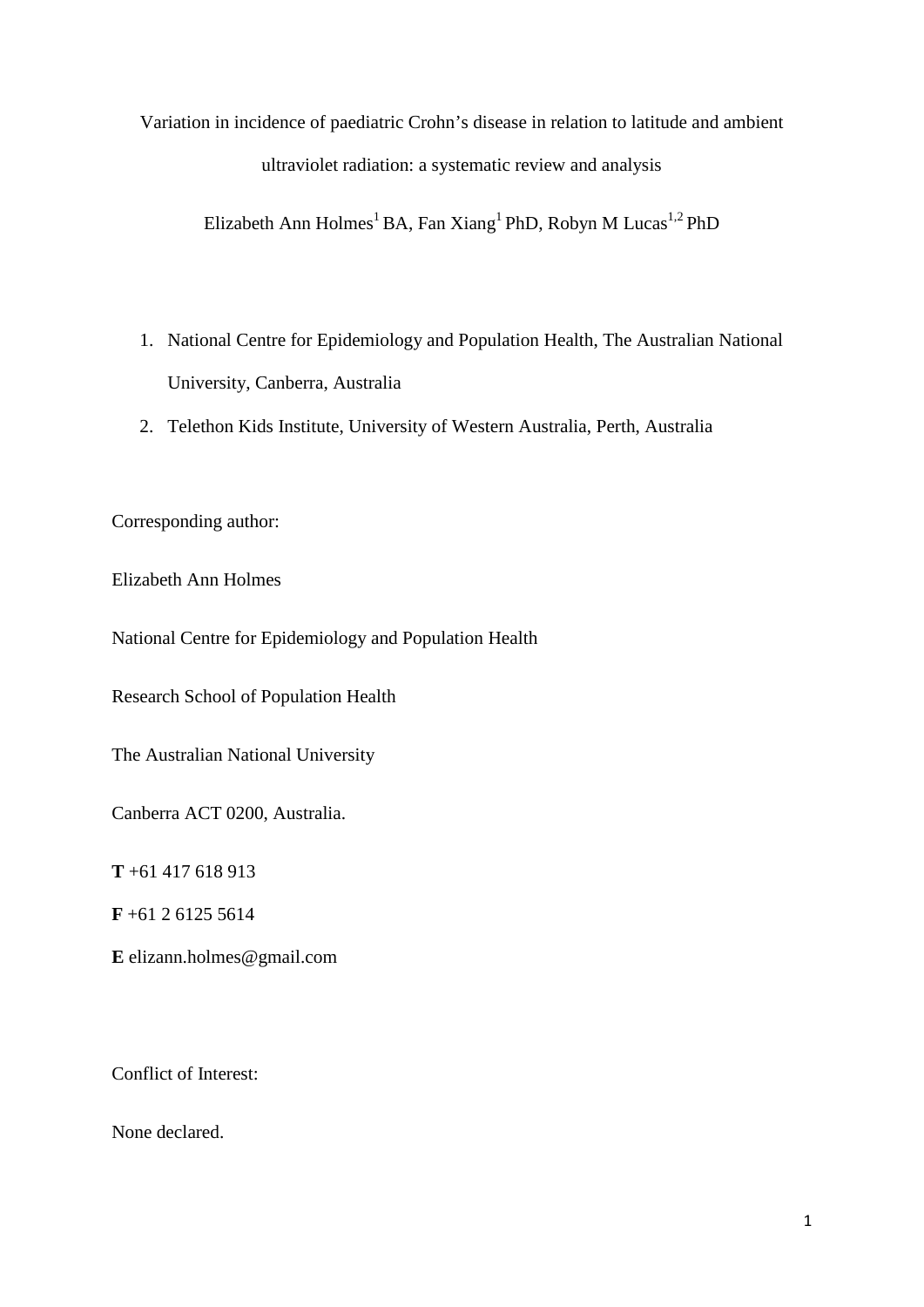Variation in incidence of paediatric Crohn's disease in relation to latitude and ambient ultraviolet radiation: a systematic review and analysis

Elizabeth Ann Holmes<sup>1</sup> BA, Fan Xiang<sup>1</sup> PhD, Robyn M Lucas<sup>1,2</sup> PhD

- 1. National Centre for Epidemiology and Population Health, The Australian National University, Canberra, Australia
- 2. Telethon Kids Institute, University of Western Australia, Perth, Australia

Corresponding author:

Elizabeth Ann Holmes

National Centre for Epidemiology and Population Health

Research School of Population Health

The Australian National University

Canberra ACT 0200, Australia.

**T** +61 417 618 913

**F** +61 2 6125 5614

**E** elizann.holmes@gmail.com

Conflict of Interest:

None declared.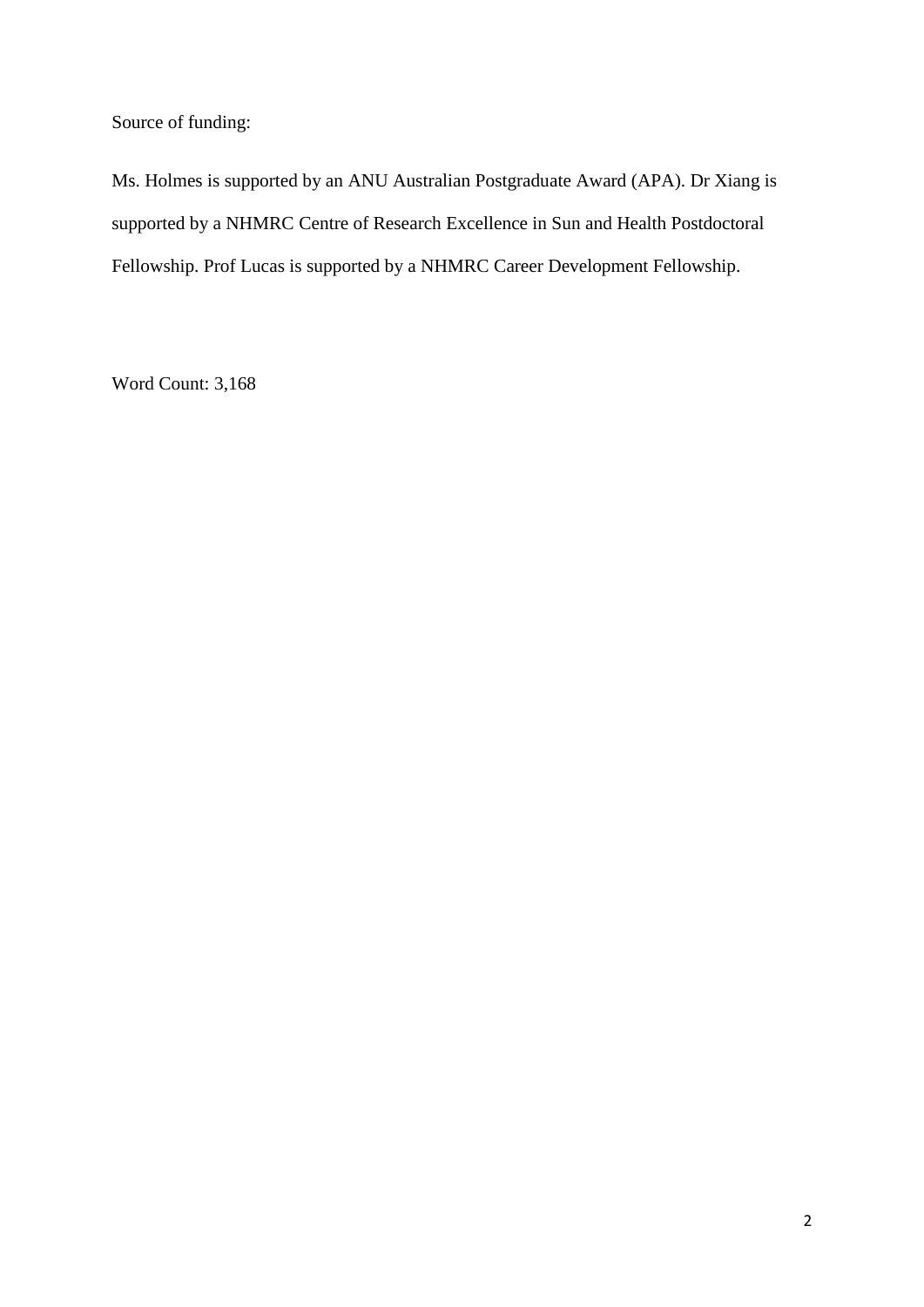Source of funding:

Ms. Holmes is supported by an ANU Australian Postgraduate Award (APA). Dr Xiang is supported by a NHMRC Centre of Research Excellence in Sun and Health Postdoctoral Fellowship. Prof Lucas is supported by a NHMRC Career Development Fellowship.

Word Count: 3,168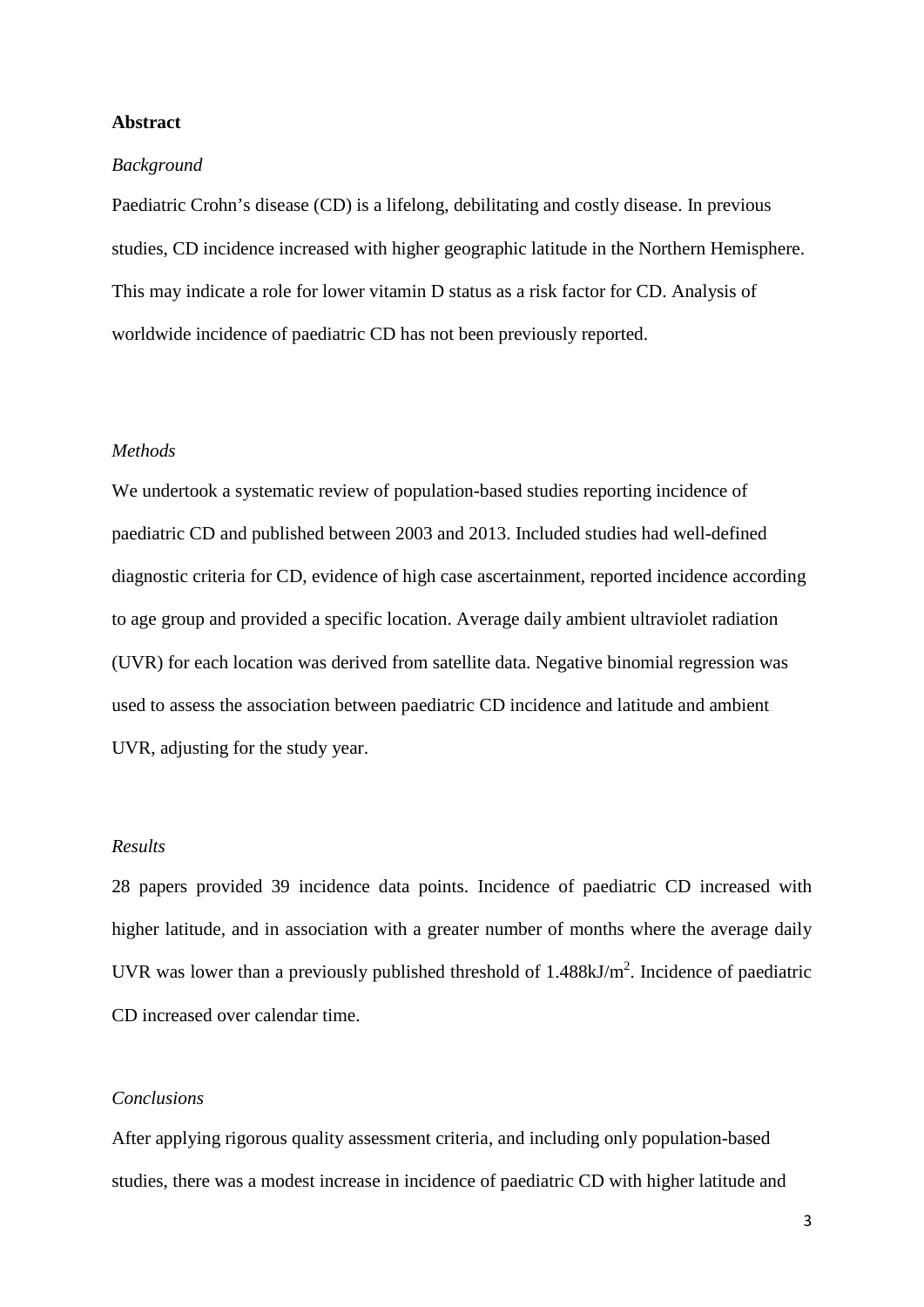### **Abstract**

#### *Background*

Paediatric Crohn's disease (CD) is a lifelong, debilitating and costly disease. In previous studies, CD incidence increased with higher geographic latitude in the Northern Hemisphere. This may indicate a role for lower vitamin D status as a risk factor for CD. Analysis of worldwide incidence of paediatric CD has not been previously reported.

### *Methods*

We undertook a systematic review of population-based studies reporting incidence of paediatric CD and published between 2003 and 2013. Included studies had well-defined diagnostic criteria for CD, evidence of high case ascertainment, reported incidence according to age group and provided a specific location. Average daily ambient ultraviolet radiation (UVR) for each location was derived from satellite data. Negative binomial regression was used to assess the association between paediatric CD incidence and latitude and ambient UVR, adjusting for the study year.

### *Results*

28 papers provided 39 incidence data points. Incidence of paediatric CD increased with higher latitude, and in association with a greater number of months where the average daily UVR was lower than a previously published threshold of  $1.488 \text{kJ/m}^2$ . Incidence of paediatric CD increased over calendar time.

### *Conclusions*

After applying rigorous quality assessment criteria, and including only population-based studies, there was a modest increase in incidence of paediatric CD with higher latitude and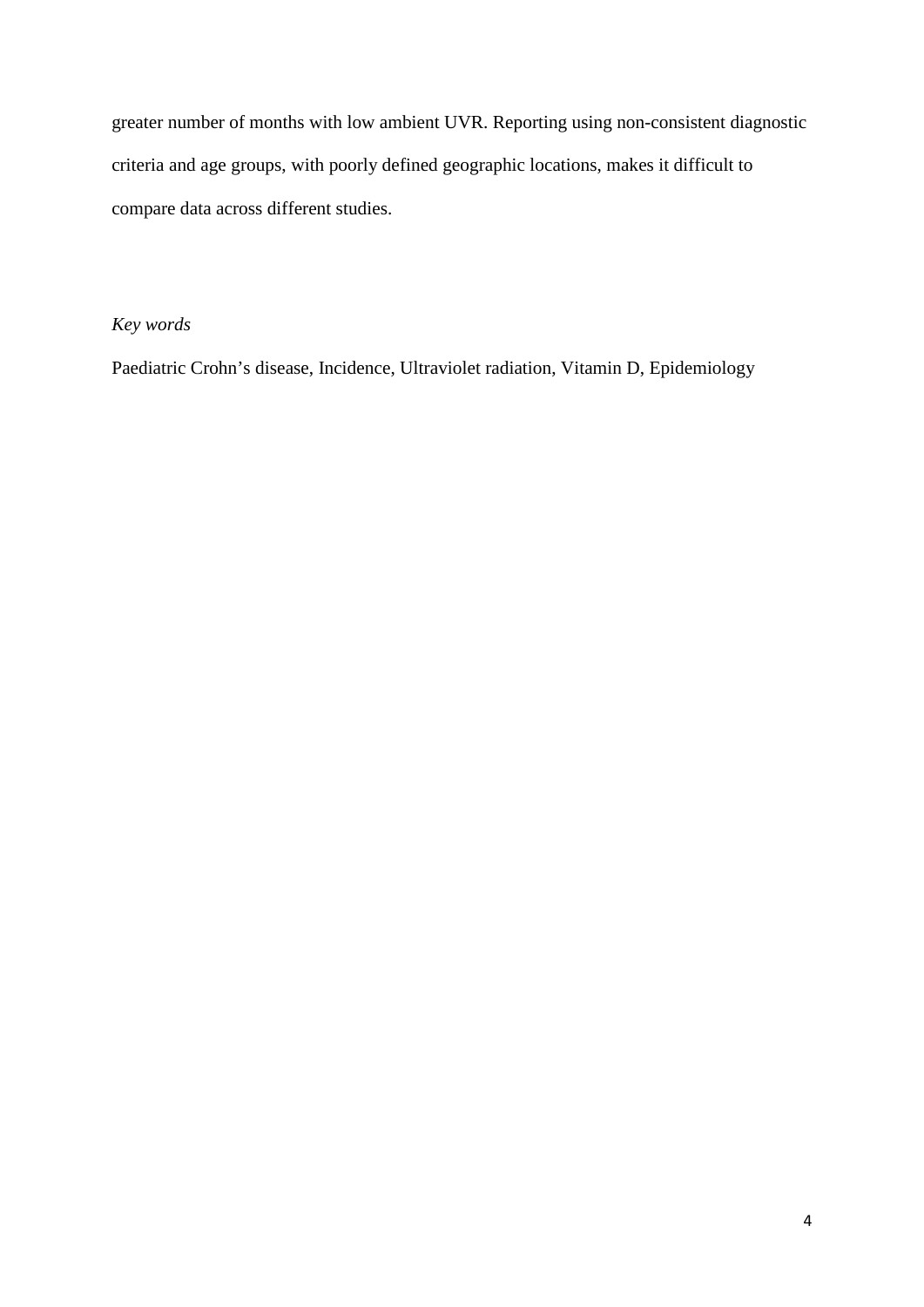greater number of months with low ambient UVR. Reporting using non-consistent diagnostic criteria and age groups, with poorly defined geographic locations, makes it difficult to compare data across different studies.

# *Key words*

Paediatric Crohn's disease, Incidence, Ultraviolet radiation, Vitamin D, Epidemiology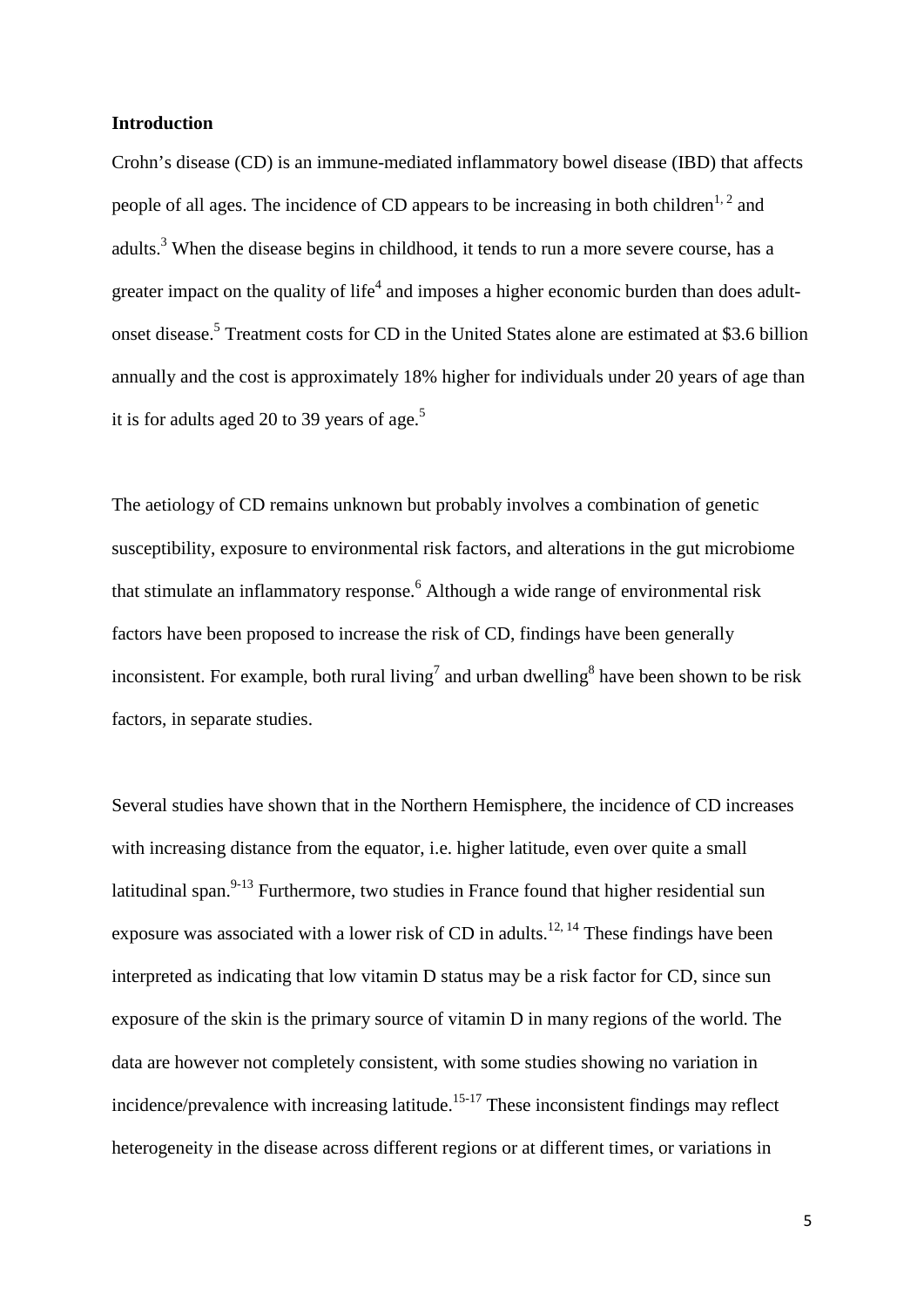### **Introduction**

Crohn's disease (CD) is an immune-mediated inflammatory bowel disease (IBD) that affects people of all ages. The incidence of CD appears to be increasing in both children<sup>1, [2](#page-18-1)</sup> and adults[.](#page-18-2)<sup>3</sup> When the disease begins in childhood, it tends to run a more severe course, has a greater impact on the quality of life<sup>4</sup> and imposes a higher economic burden than does adultonset disease. [5](#page-18-4) Treatment costs for CD in the United States alone are estimated at \$3.6 billion annually and the cost is approximately 18% higher for individuals under 20 years of age than it is for adults aged 20 to 39 years of age.<sup>5</sup>

The aetiology of CD remains unknown but probably involves a combination of genetic susceptibility, exposure to environmental risk factors, and alterations in the gut microbiome that stimulate an inflammatory response.<sup>6</sup> Although a wide range of environmental risk factors have been proposed to increase the risk of CD, findings have been generally inconsistent. For example, both rural living<sup>7</sup> and urban dwelling<sup>8</sup> have been shown to be risk factors, in separate studies.

Several studies have shown that in the Northern Hemisphere, the incidence of CD increases with increasing distance from the equator, *i.e.* higher latitude, even over quite a small latitudinal span.<sup>[9-13](#page-18-8)</sup> Furthermore, two studies in France found that higher residential sun exposure was associated with a lower risk of CD in adults.<sup>[12,](#page-19-0) [14](#page-19-1)</sup> These findings have been interpreted as indicating that low vitamin D status may be a risk factor for CD, since sun exposure of the skin is the primary source of vitamin D in many regions of the world. The data are however not completely consistent, with some studies showing no variation in incidence/prevalence with increasing latitude.<sup>[15-17](#page-19-2)</sup> These inconsistent findings may reflect heterogeneity in the disease across different regions or at different times, or variations in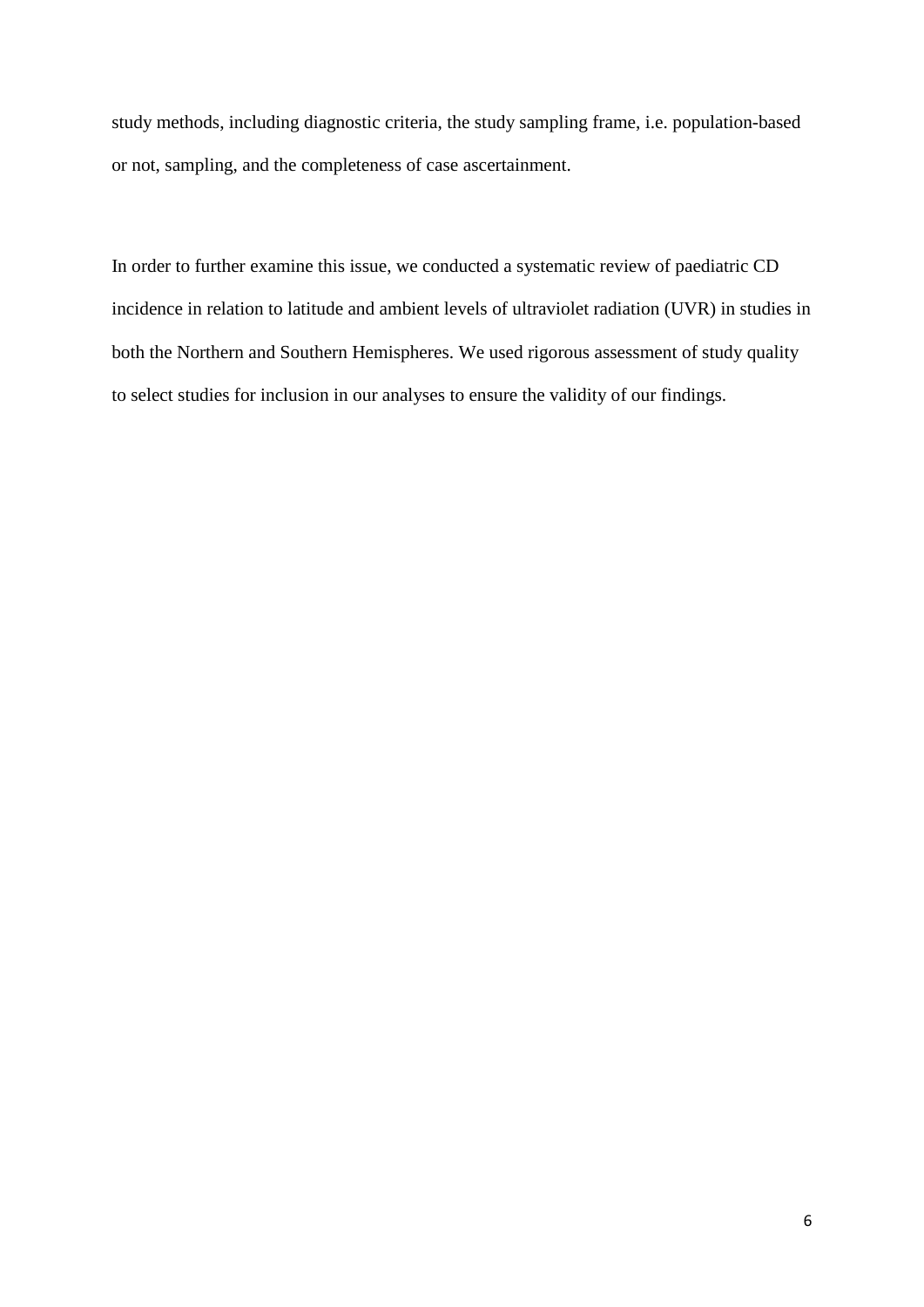study methods, including diagnostic criteria, the study sampling frame, i.e. population-based or not, sampling, and the completeness of case ascertainment.

In order to further examine this issue, we conducted a systematic review of paediatric CD incidence in relation to latitude and ambient levels of ultraviolet radiation (UVR) in studies in both the Northern and Southern Hemispheres. We used rigorous assessment of study quality to select studies for inclusion in our analyses to ensure the validity of our findings.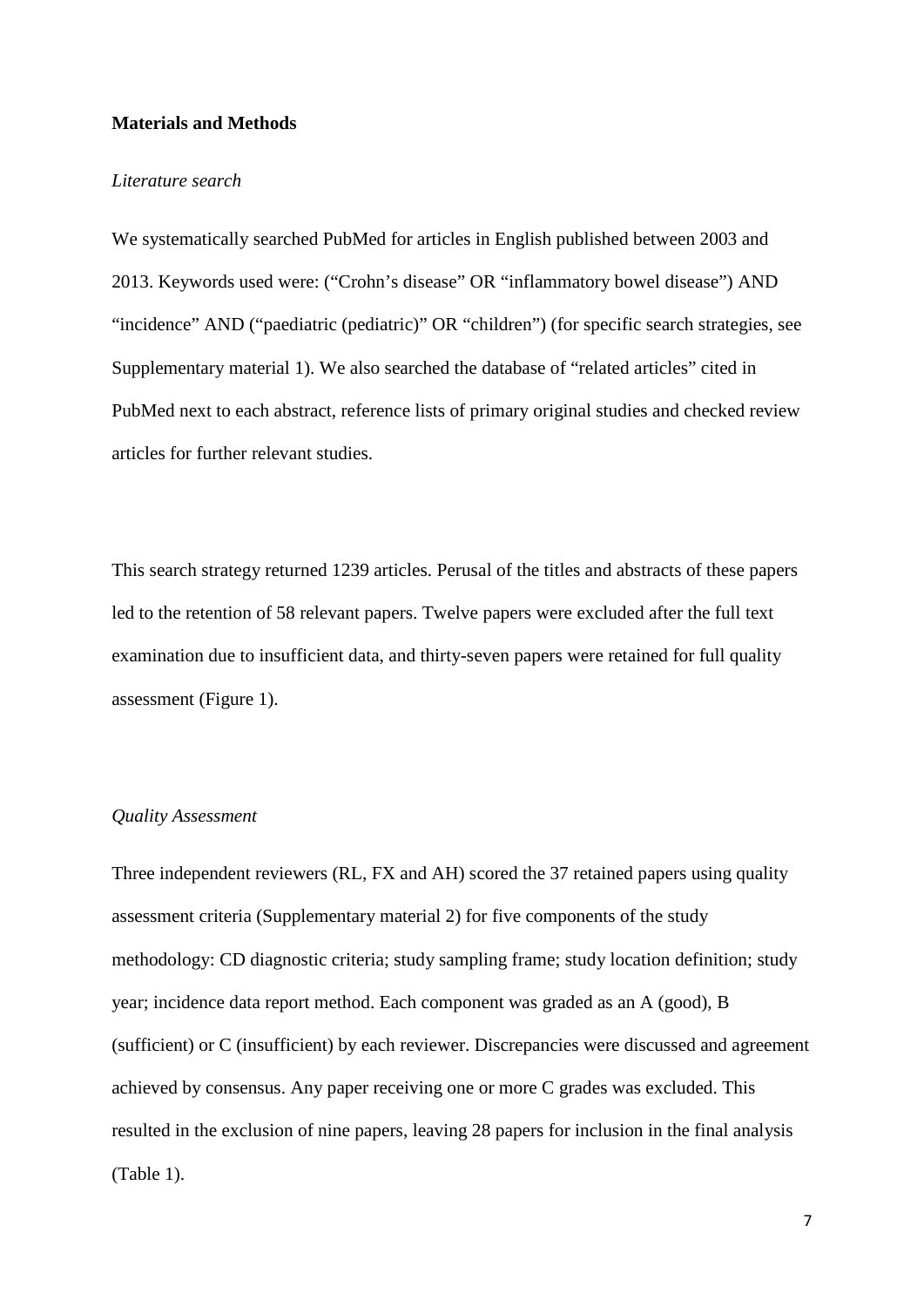#### **Materials and Methods**

### *Literature search*

We systematically searched PubMed for articles in English published between 2003 and 2013. Keywords used were: ("Crohn's disease" OR "inflammatory bowel disease") AND "incidence" AND ("paediatric (pediatric)" OR "children") (for specific search strategies, see Supplementary material 1). We also searched the database of "related articles" cited in PubMed next to each abstract, reference lists of primary original studies and checked review articles for further relevant studies.

This search strategy returned 1239 articles. Perusal of the titles and abstracts of these papers led to the retention of 58 relevant papers. Twelve papers were excluded after the full text examination due to insufficient data, and thirty-seven papers were retained for full quality assessment (Figure 1).

### *Quality Assessment*

Three independent reviewers (RL, FX and AH) scored the 37 retained papers using quality assessment criteria (Supplementary material 2) for five components of the study methodology: CD diagnostic criteria; study sampling frame; study location definition; study year; incidence data report method. Each component was graded as an A (good), B (sufficient) or C (insufficient) by each reviewer. Discrepancies were discussed and agreement achieved by consensus. Any paper receiving one or more C grades was excluded. This resulted in the exclusion of nine papers, leaving 28 papers for inclusion in the final analysis (Table 1).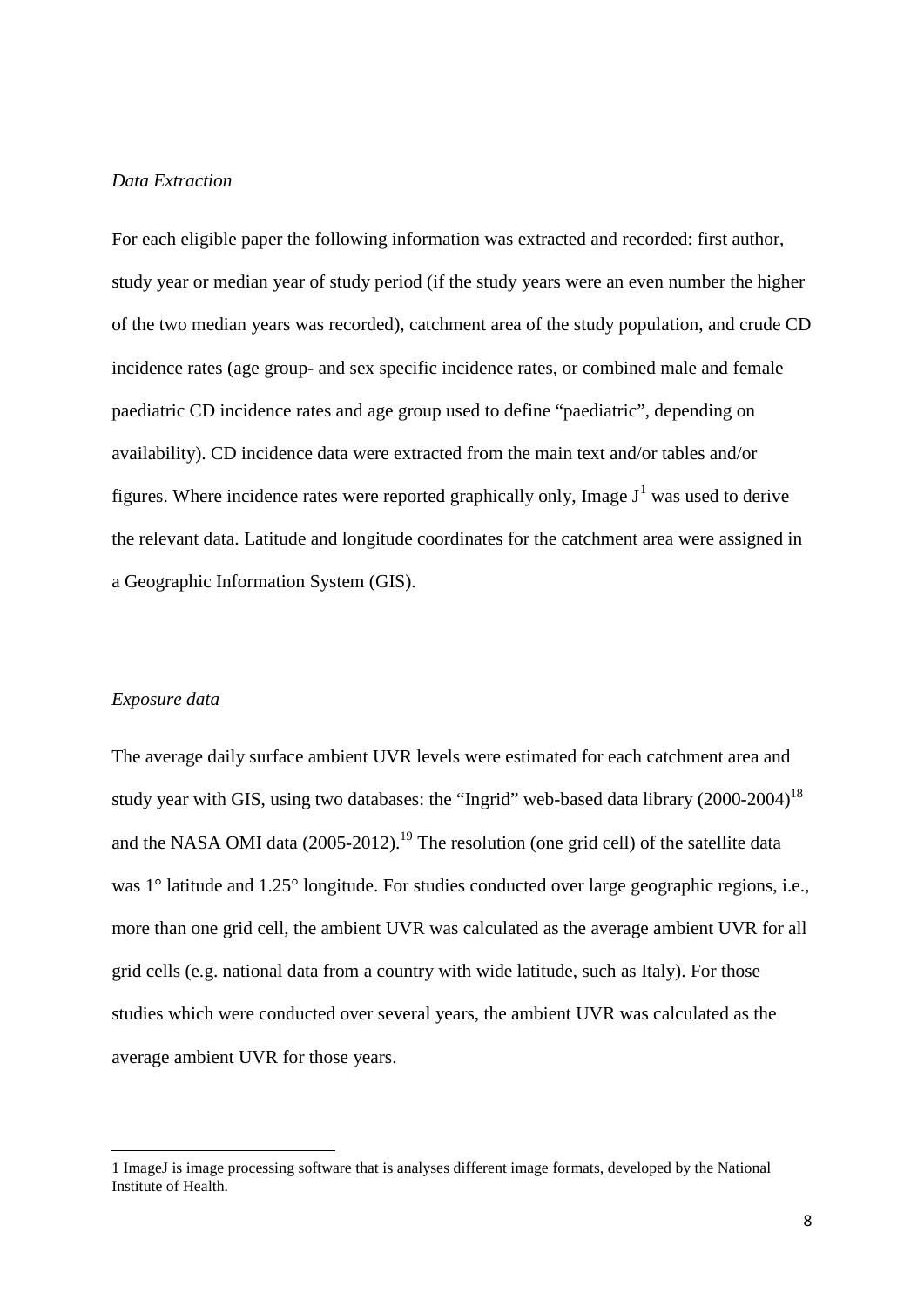### *Data Extraction*

For each eligible paper the following information was extracted and recorded: first author, study year or median year of study period (if the study years were an even number the higher of the two median years was recorded), catchment area of the study population, and crude CD incidence rates (age group- and sex specific incidence rates, or combined male and female paediatric CD incidence rates and age group used to define "paediatric", depending on availability). CD incidence data were extracted from the main text and/or tables and/or figures. Where incidence rates were reported graphically only, Image  $J^1$  $J^1$  was used to derive the relevant data. Latitude and longitude coordinates for the catchment area were assigned in a Geographic Information System (GIS).

### *Exposure data*

 $\overline{a}$ 

The average daily surface ambient UVR levels were estimated for each catchment area and study year with GIS, using two databases: the "Ingrid" web-based data library  $(2000-2004)^{18}$ and the NASA OMI data  $(2005-2012)$ .<sup>19</sup> The resolution (one grid cell) of the satellite data was 1<sup>°</sup> latitude and 1.25<sup>°</sup> longitude. For studies conducted over large geographic regions, i.e., more than one grid cell, the ambient UVR was calculated as the average ambient UVR for all grid cells (e.g. national data from a country with wide latitude, such as Italy). For those studies which were conducted over several years, the ambient UVR was calculated as the average ambient UVR for those years.

<span id="page-7-0"></span><sup>1</sup> ImageJ is image processing software that is analyses different image formats, developed by the National Institute of Health.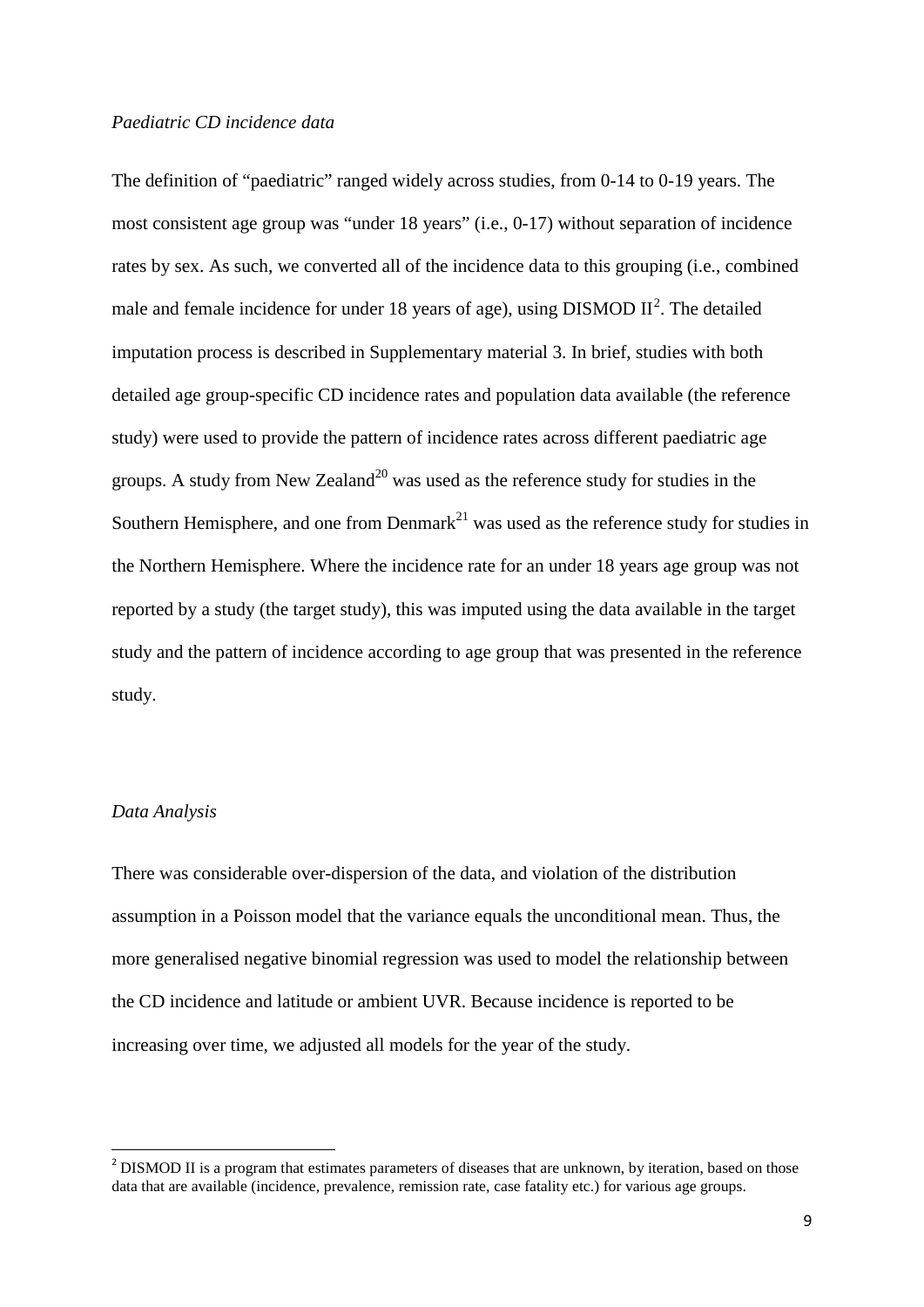### *Paediatric CD incidence data*

The definition of "paediatric" ranged widely across studies, from 0-14 to 0-19 years. The most consistent age group was "under 18 years" (i.e., 0-17) without separation of incidence rates by sex. As such, we converted all of the incidence data to this grouping (i.e., combined male and female incidence for under 18 years of age), using DISMOD  $II^2$  $II^2$ . The detailed imputation process is described in Supplementary material 3. In brief, studies with both detailed age group-specific CD incidence rates and population data available (the reference study) were used to provide the pattern of incidence rates across different paediatric age groups. A study from New Zealand<sup>20</sup> was used as the reference study for studies in the Southern Hemisphere, and one from Denmark<sup>21</sup> was used as the reference study for studies in the Northern Hemisphere. Where the incidence rate for an under 18 years age group was not reported by a study (the target study), this was imputed using the data available in the target study and the pattern of incidence according to age group that was presented in the reference study.

## *Data Analysis*

 $\overline{a}$ 

There was considerable over-dispersion of the data, and violation of the distribution assumption in a Poisson model that the variance equals the unconditional mean. Thus, the more generalised negative binomial regression was used to model the relationship between the CD incidence and latitude or ambient UVR. Because incidence is reported to be increasing over time, we adjusted all models for the year of the study.

<span id="page-8-0"></span><sup>&</sup>lt;sup>2</sup> DISMOD II is a program that estimates parameters of diseases that are unknown, by iteration, based on those data that are available (incidence, prevalence, remission rate, case fatality etc.) for various age groups.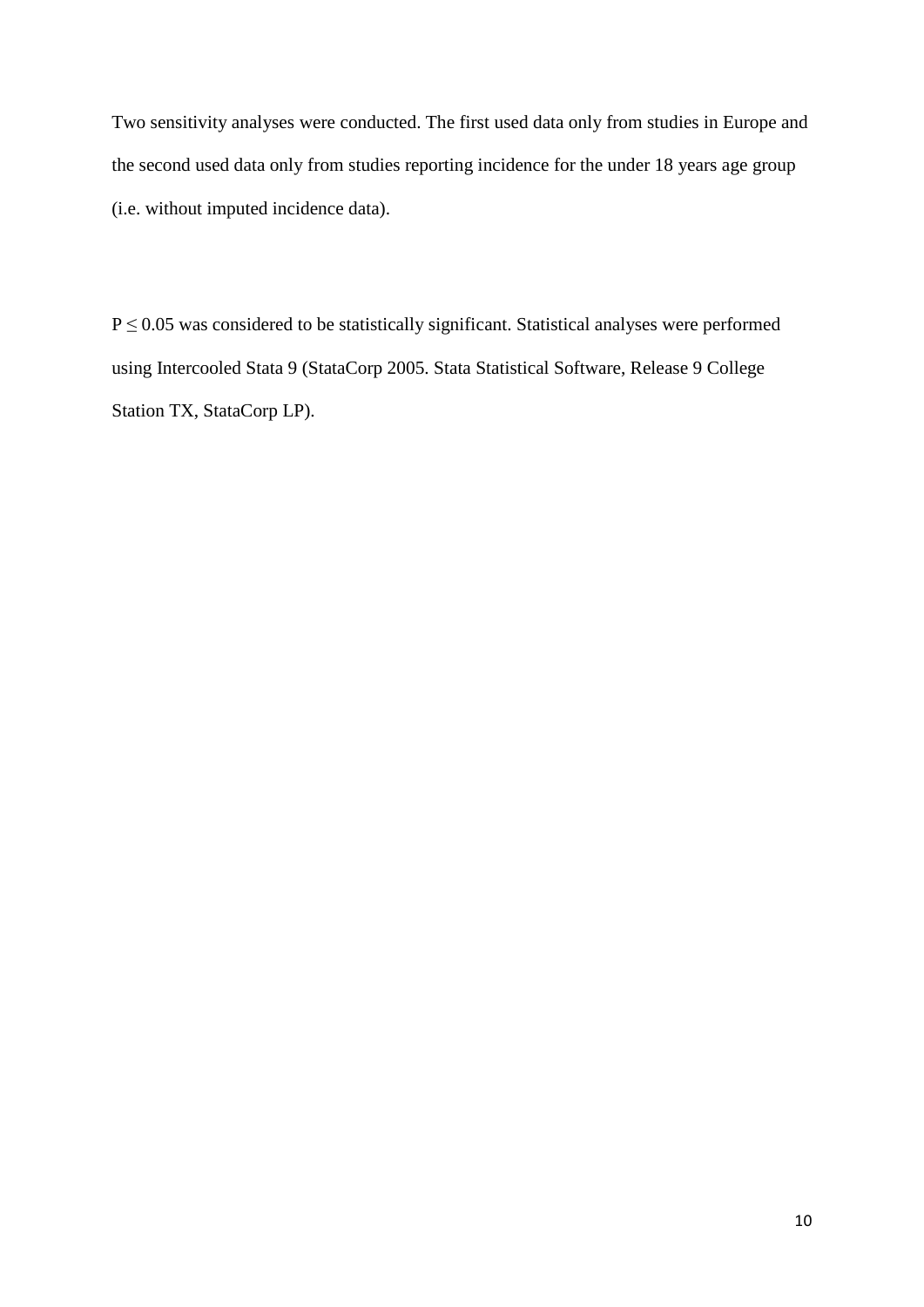Two sensitivity analyses were conducted. The first used data only from studies in Europe and the second used data only from studies reporting incidence for the under 18 years age group (i.e. without imputed incidence data).

 $P \le 0.05$  was considered to be statistically significant. Statistical analyses were performed using Intercooled Stata 9 (StataCorp 2005. Stata Statistical Software, Release 9 College Station TX, StataCorp LP).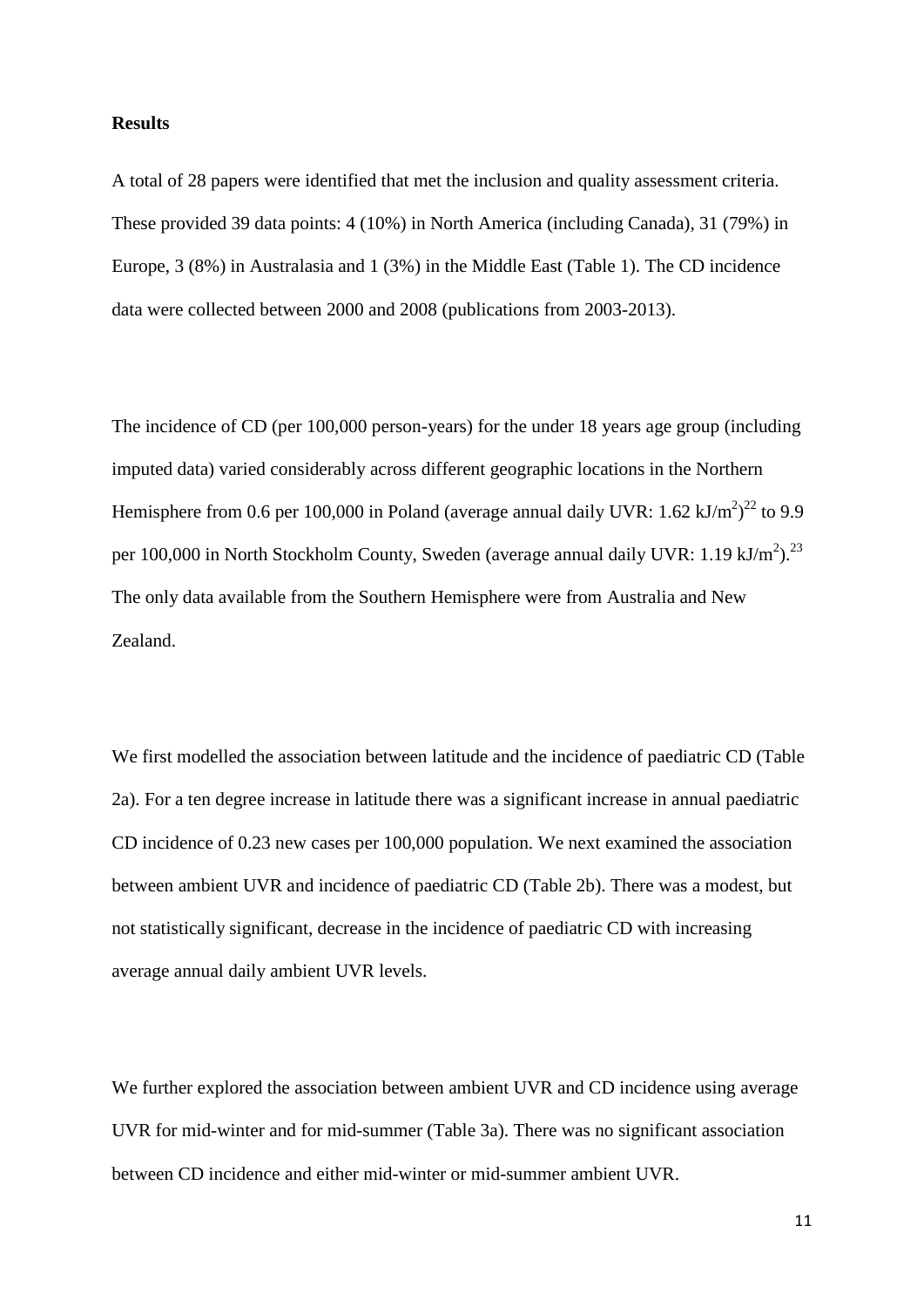#### **Results**

A total of 28 papers were identified that met the inclusion and quality assessment criteria. These provided 39 data points: 4 (10%) in North America (including Canada), 31 (79%) in Europe, 3 (8%) in Australasia and 1 (3%) in the Middle East (Table 1). The CD incidence data were collected between 2000 and 2008 (publications from 2003-2013).

The incidence of CD (per 100,000 person-years) for the under 18 years age group (including imputed data) varied considerably across different geographic locations in the Northern Hemisphere from 0.6 per 100,000 in Poland (average annual daily UVR: 1.62 kJ/m<sup>2</sup>)<sup>[22](#page-20-4)</sup> to 9.9 per 100,000 in North Stockholm County, Sweden (average annual daily UVR: 1.19 kJ/m<sup>2</sup>).<sup>[23](#page-20-5)</sup> The only data available from the Southern Hemisphere were from Australia and New Zealand.

We first modelled the association between latitude and the incidence of paediatric CD (Table 2a). For a ten degree increase in latitude there was a significant increase in annual paediatric CD incidence of 0.23 new cases per 100,000 population. We next examined the association between ambient UVR and incidence of paediatric CD (Table 2b). There was a modest, but not statistically significant, decrease in the incidence of paediatric CD with increasing average annual daily ambient UVR levels.

We further explored the association between ambient UVR and CD incidence using average UVR for mid-winter and for mid-summer (Table 3a). There was no significant association between CD incidence and either mid-winter or mid-summer ambient UVR.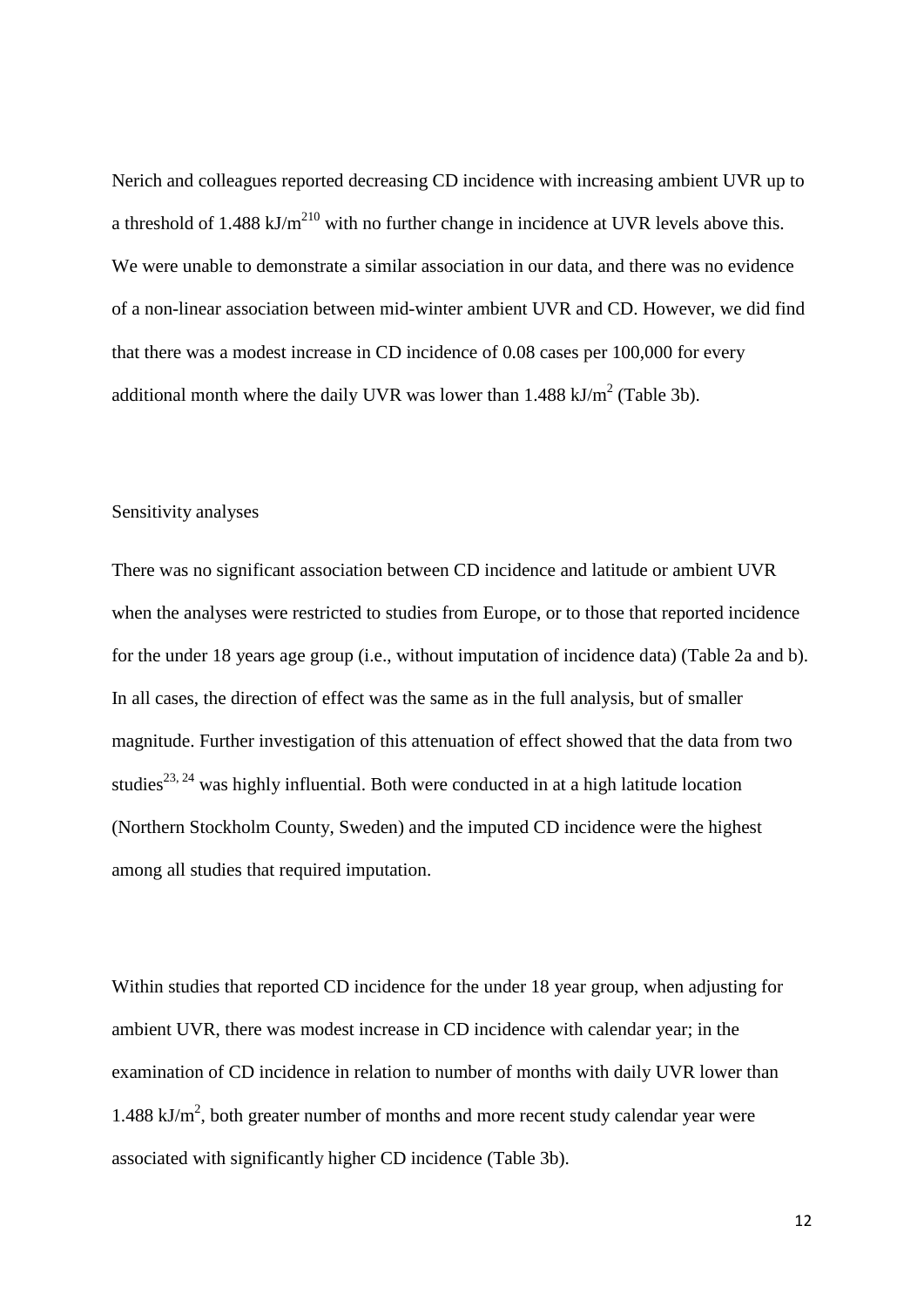Nerich and colleagues reported decreasing CD incidence with increasing ambient UVR up to a threshold of 1.488 kJ/m<sup>[210](#page-19-3)</sup> with no further change in incidence at UVR levels above this. We were unable to demonstrate a similar association in our data, and there was no evidence of a non-linear association between mid-winter ambient UVR and CD. However, we did find that there was a modest increase in CD incidence of 0.08 cases per 100,000 for every additional month where the daily UVR was lower than  $1.488 \text{ kJ/m}^2$  (Table 3b).

#### Sensitivity analyses

There was no significant association between CD incidence and latitude or ambient UVR when the analyses were restricted to studies from Europe, or to those that reported incidence for the under 18 years age group (i.e., without imputation of incidence data) (Table 2a and b). In all cases, the direction of effect was the same as in the full analysis, but of smaller magnitude. Further investigation of this attenuation of effect showed that the data from two studies<sup>[23,](#page-20-5) [24](#page-20-6)</sup> was highly influential. Both were conducted in at a high latitude location (Northern Stockholm County, Sweden) and the imputed CD incidence were the highest among all studies that required imputation.

Within studies that reported CD incidence for the under 18 year group, when adjusting for ambient UVR, there was modest increase in CD incidence with calendar year; in the examination of CD incidence in relation to number of months with daily UVR lower than  $1.488 \text{ kJ/m}^2$ , both greater number of months and more recent study calendar year were associated with significantly higher CD incidence (Table 3b).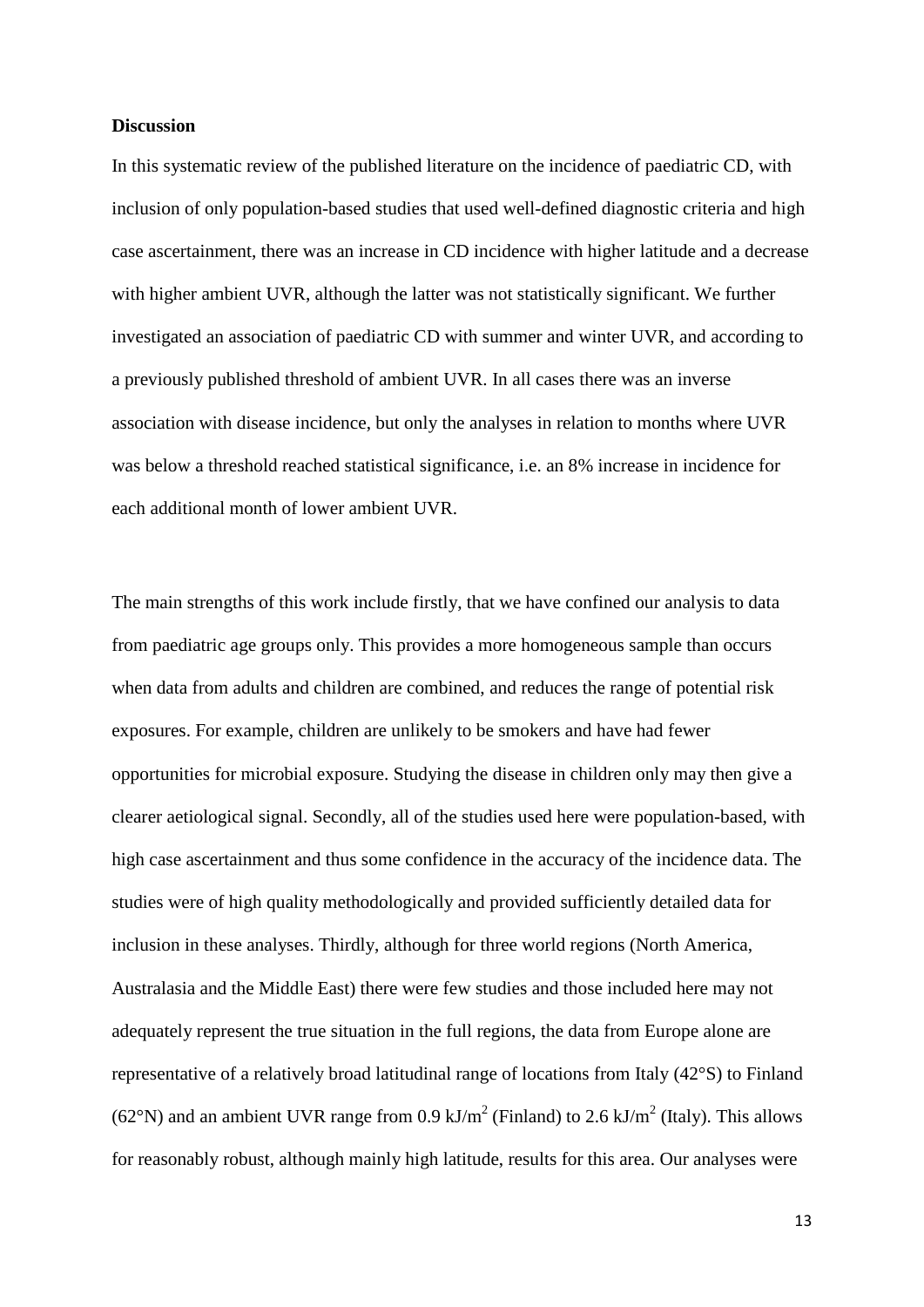#### **Discussion**

In this systematic review of the published literature on the incidence of paediatric CD, with inclusion of only population-based studies that used well-defined diagnostic criteria and high case ascertainment, there was an increase in CD incidence with higher latitude and a decrease with higher ambient UVR, although the latter was not statistically significant. We further investigated an association of paediatric CD with summer and winter UVR, and according to a previously published threshold of ambient UVR. In all cases there was an inverse association with disease incidence, but only the analyses in relation to months where UVR was below a threshold reached statistical significance, i.e. an 8% increase in incidence for each additional month of lower ambient UVR.

The main strengths of this work include firstly, that we have confined our analysis to data from paediatric age groups only. This provides a more homogeneous sample than occurs when data from adults and children are combined, and reduces the range of potential risk exposures. For example, children are unlikely to be smokers and have had fewer opportunities for microbial exposure. Studying the disease in children only may then give a clearer aetiological signal. Secondly, all of the studies used here were population-based, with high case ascertainment and thus some confidence in the accuracy of the incidence data. The studies were of high quality methodologically and provided sufficiently detailed data for inclusion in these analyses. Thirdly, although for three world regions (North America, Australasia and the Middle East) there were few studies and those included here may not adequately represent the true situation in the full regions, the data from Europe alone are representative of a relatively broad latitudinal range of locations from Italy (42°S) to Finland (62°N) and an ambient UVR range from 0.9 kJ/m<sup>2</sup> (Finland) to 2.6 kJ/m<sup>2</sup> (Italy). This allows for reasonably robust, although mainly high latitude, results for this area. Our analyses were

13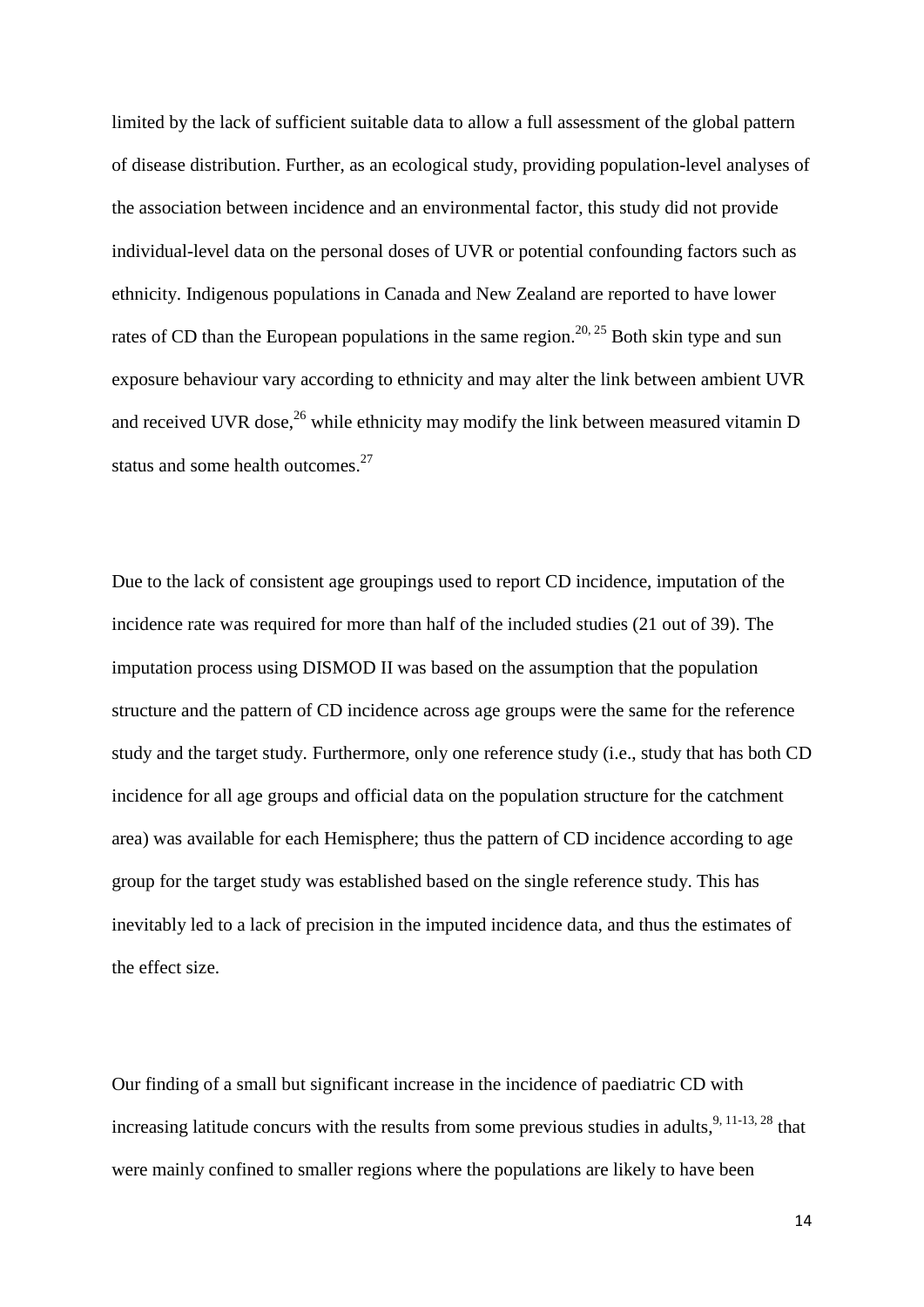limited by the lack of sufficient suitable data to allow a full assessment of the global pattern of disease distribution. Further, as an ecological study, providing population-level analyses of the association between incidence and an environmental factor, this study did not provide individual-level data on the personal doses of UVR or potential confounding factors such as ethnicity. Indigenous populations in Canada and New Zealand are reported to have lower rates of CD than the European populations in the same region.<sup>[20,](#page-20-2) [25](#page-20-7)</sup> Both skin type and sun exposure behaviour vary according to ethnicity and may alter the link between ambient UVR and received UVR dose,<sup>[26](#page-20-8)</sup> while ethnicity may modify the link between measured vitamin D status and some health outcomes.<sup>[27](#page-20-9)</sup>

Due to the lack of consistent age groupings used to report CD incidence, imputation of the incidence rate was required for more than half of the included studies (21 out of 39). The imputation process using DISMOD II was based on the assumption that the population structure and the pattern of CD incidence across age groups were the same for the reference study and the target study. Furthermore, only one reference study (i.e., study that has both CD incidence for all age groups and official data on the population structure for the catchment area) was available for each Hemisphere; thus the pattern of CD incidence according to age group for the target study was established based on the single reference study. This has inevitably led to a lack of precision in the imputed incidence data, and thus the estimates of the effect size.

Our finding of a small but significant increase in the incidence of paediatric CD with increasing latitude concurs with the results from some previous studies in adults, <sup>[9,](#page-18-8) [11-13,](#page-19-4) [28](#page-21-0)</sup> that were mainly confined to smaller regions where the populations are likely to have been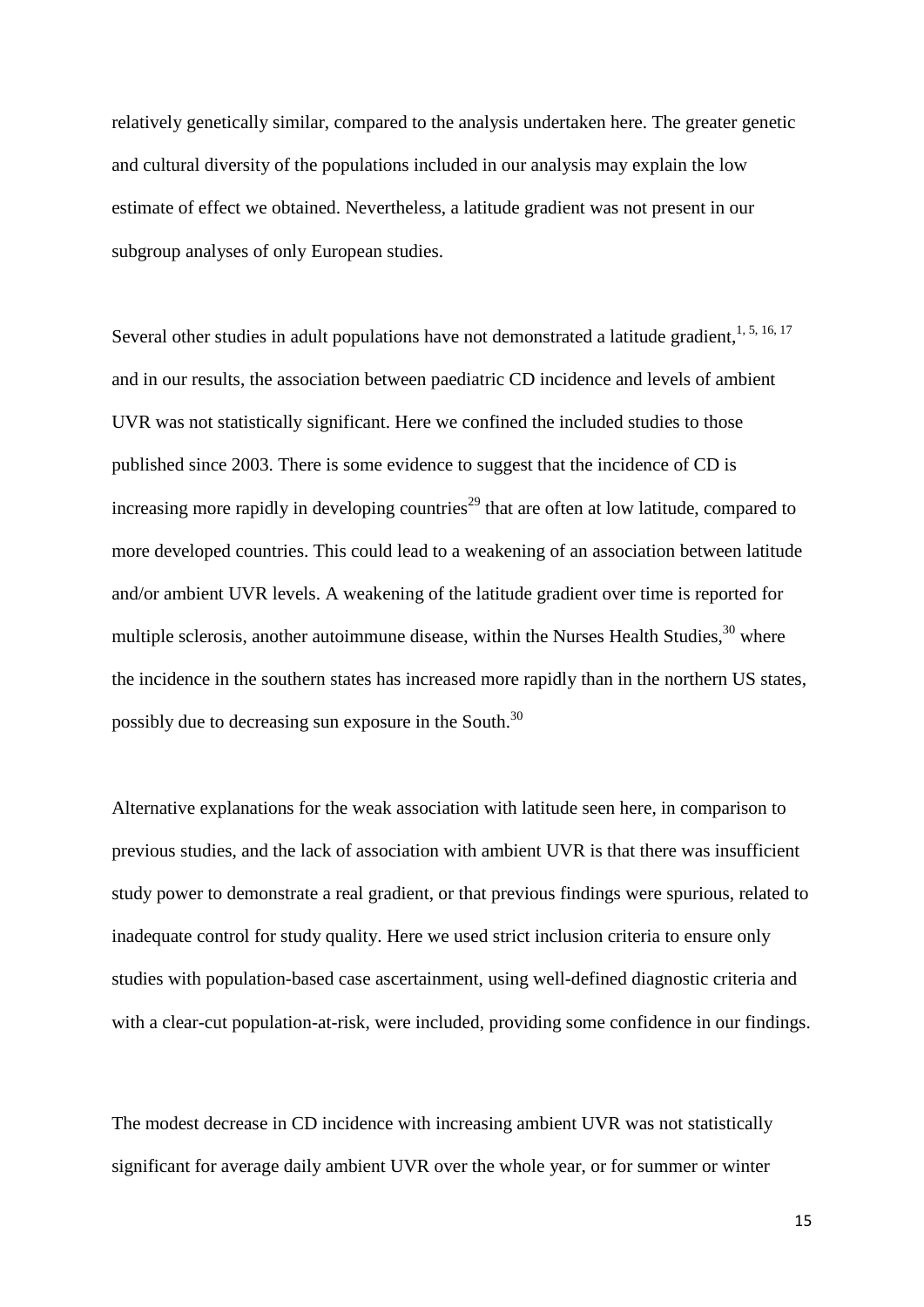relatively genetically similar, compared to the analysis undertaken here. The greater genetic and cultural diversity of the populations included in our analysis may explain the low estimate of effect we obtained. Nevertheless, a latitude gradient was not present in our subgroup analyses of only European studies.

Several other studies in adult populations have not demonstrated a latitude gradient, [1,](#page-18-0) [5,](#page-18-4) [16,](#page-19-5) [17](#page-19-6) and in our results, the association between paediatric CD incidence and levels of ambient UVR was not statistically significant. Here we confined the included studies to those published since 2003. There is some evidence to suggest that the incidence of CD is increasing more rapidly in developing countries<sup>[29](#page-21-1)</sup> that are often at low latitude, compared to more developed countries. This could lead to a weakening of an association between latitude and/or ambient UVR levels. A weakening of the latitude gradient over time is reported for multiple sclerosis, another autoimmune disease, within the Nurses Health Studies,<sup>[30](#page-21-2)</sup> where the incidence in the southern states has increased more rapidly than in the northern US states, possibly due to decreasing sun exposure in the South.<sup>[30](#page-21-2)</sup>

Alternative explanations for the weak association with latitude seen here, in comparison to previous studies, and the lack of association with ambient UVR is that there was insufficient study power to demonstrate a real gradient, or that previous findings were spurious, related to inadequate control for study quality. Here we used strict inclusion criteria to ensure only studies with population-based case ascertainment, using well-defined diagnostic criteria and with a clear-cut population-at-risk, were included, providing some confidence in our findings.

The modest decrease in CD incidence with increasing ambient UVR was not statistically significant for average daily ambient UVR over the whole year, or for summer or winter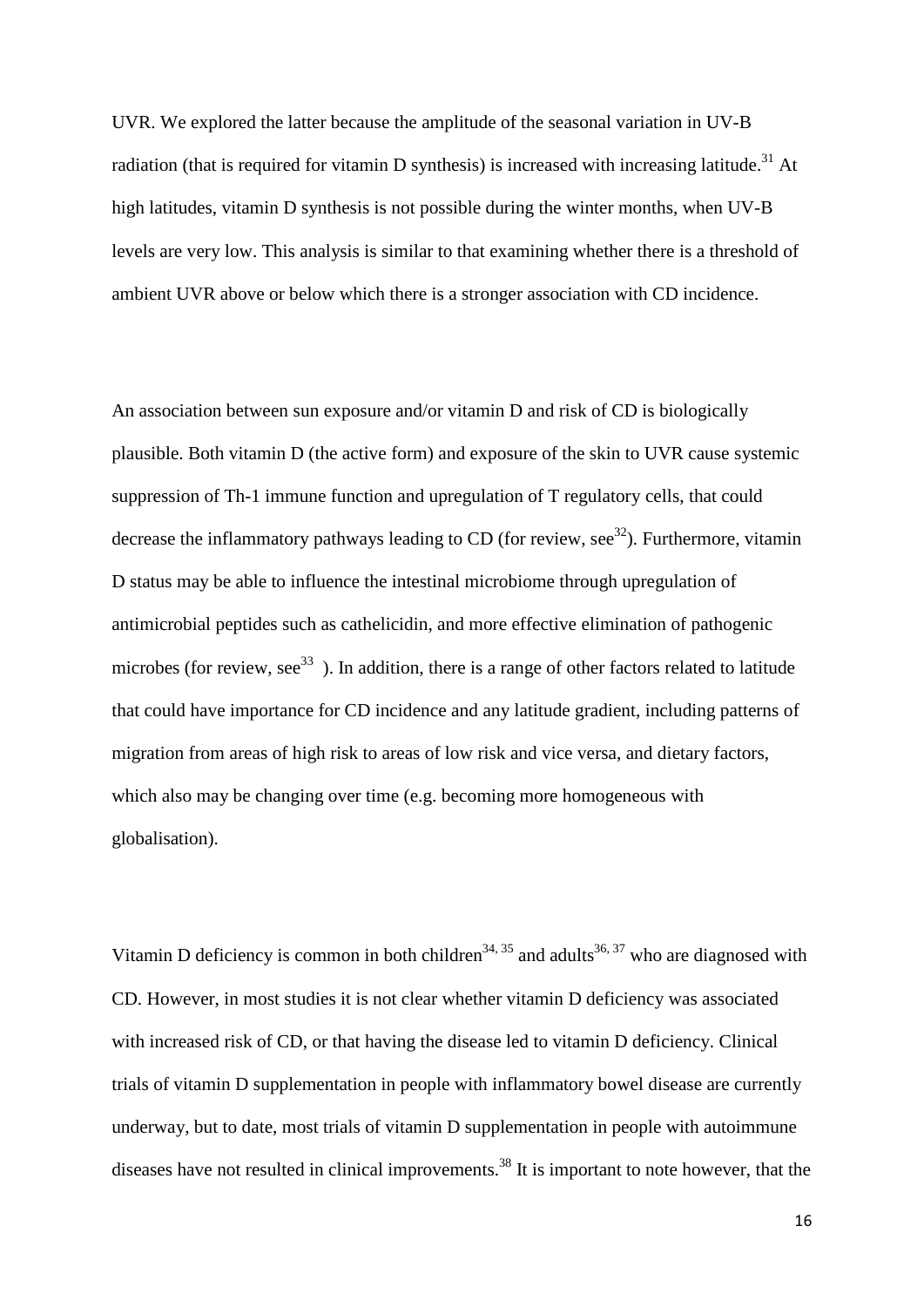UVR. We explored the latter because the amplitude of the seasonal variation in UV-B radiation (that is required for vitamin D synthesis) is increased with increasing latitude.<sup>31</sup> At high latitudes, vitamin D synthesis is not possible during the winter months, when UV-B levels are very low. This analysis is similar to that examining whether there is a threshold of ambient UVR above or below which there is a stronger association with CD incidence.

An association between sun exposure and/or vitamin D and risk of CD is biologically plausible. Both vitamin D (the active form) and exposure of the skin to UVR cause systemic suppression of Th-1 immune function and upregulation of T regulatory cells, that could decrease the inflammatory pathways leading to CD (for review, see<sup>32</sup>). Furthermore, vitamin D status may be able to influence the intestinal microbiome through upregulation of antimicrobial peptides such as cathelicidin, and more effective elimination of pathogenic microbes (for review, see<sup>[33](#page-21-5)</sup>). In addition, there is a range of other factors related to latitude that could have importance for CD incidence and any latitude gradient, including patterns of migration from areas of high risk to areas of low risk and vice versa, and dietary factors, which also may be changing over time (e.g. becoming more homogeneous with globalisation).

Vitamin D deficiency is common in both children<sup>[34,](#page-21-6) [35](#page-21-7)</sup> and adults<sup>36, [37](#page-21-9)</sup> who are diagnosed with CD. However, in most studies it is not clear whether vitamin D deficiency was associated with increased risk of CD, or that having the disease led to vitamin D deficiency. Clinical trials of vitamin D supplementation in people with inflammatory bowel disease are currently underway, but to date, most trials of vitamin D supplementation in people with autoimmune diseases have not resulted in clinical improvements.<sup>[38](#page-22-0)</sup> It is important to note however, that the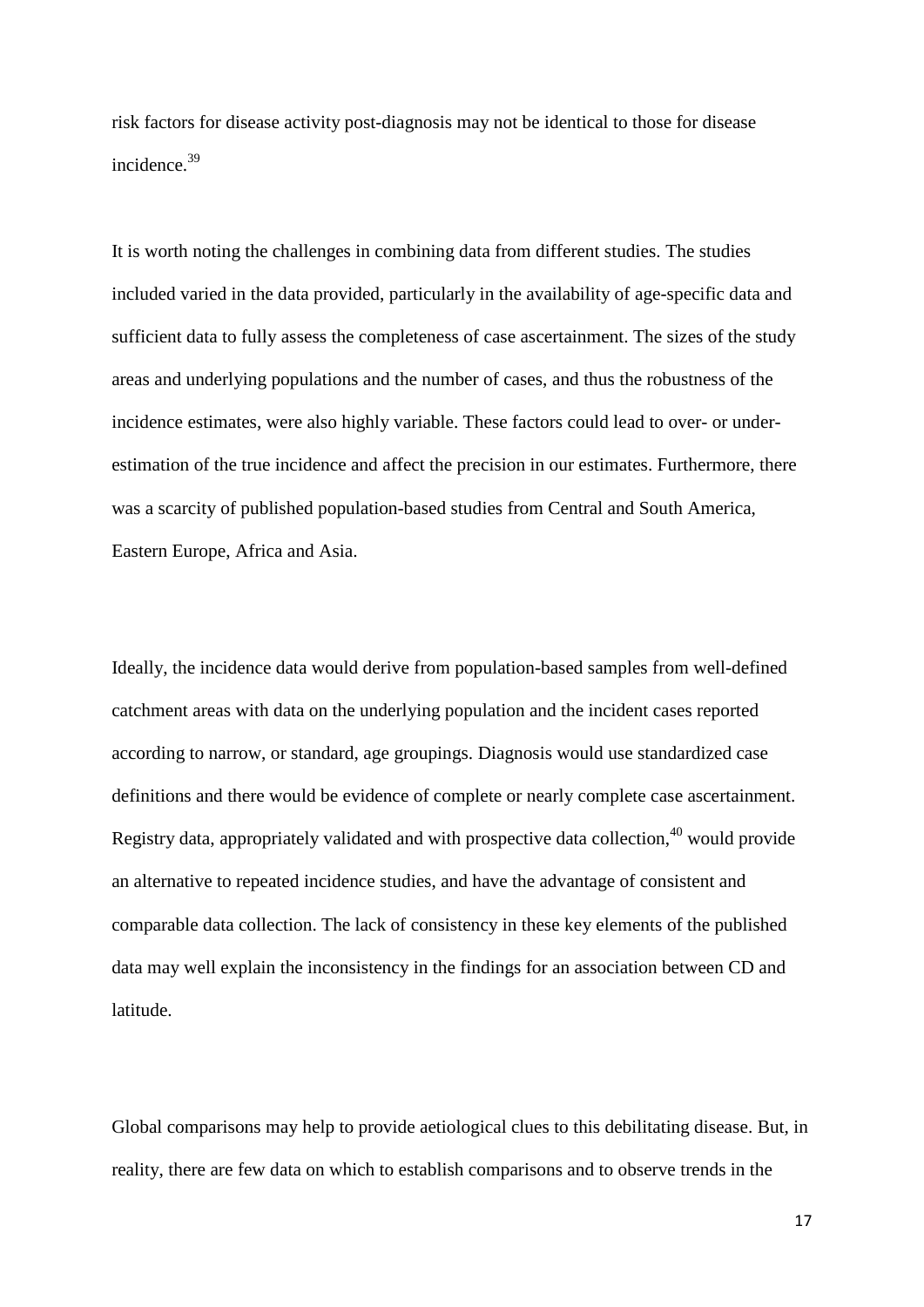risk factors for disease activity post-diagnosis may not be identical to those for disease incidence. [39](#page-22-1)

It is worth noting the challenges in combining data from different studies. The studies included varied in the data provided, particularly in the availability of age-specific data and sufficient data to fully assess the completeness of case ascertainment. The sizes of the study areas and underlying populations and the number of cases, and thus the robustness of the incidence estimates, were also highly variable. These factors could lead to over- or underestimation of the true incidence and affect the precision in our estimates. Furthermore, there was a scarcity of published population-based studies from Central and South America, Eastern Europe, Africa and Asia.

Ideally, the incidence data would derive from population-based samples from well-defined catchment areas with data on the underlying population and the incident cases reported according to narrow, or standard, age groupings. Diagnosis would use standardized case definitions and there would be evidence of complete or nearly complete case ascertainment. Registry data, appropriately validated and with prospective data collection,<sup>[40](#page-22-2)</sup> would provide an alternative to repeated incidence studies, and have the advantage of consistent and comparable data collection. The lack of consistency in these key elements of the published data may well explain the inconsistency in the findings for an association between CD and latitude.

Global comparisons may help to provide aetiological clues to this debilitating disease. But, in reality, there are few data on which to establish comparisons and to observe trends in the

17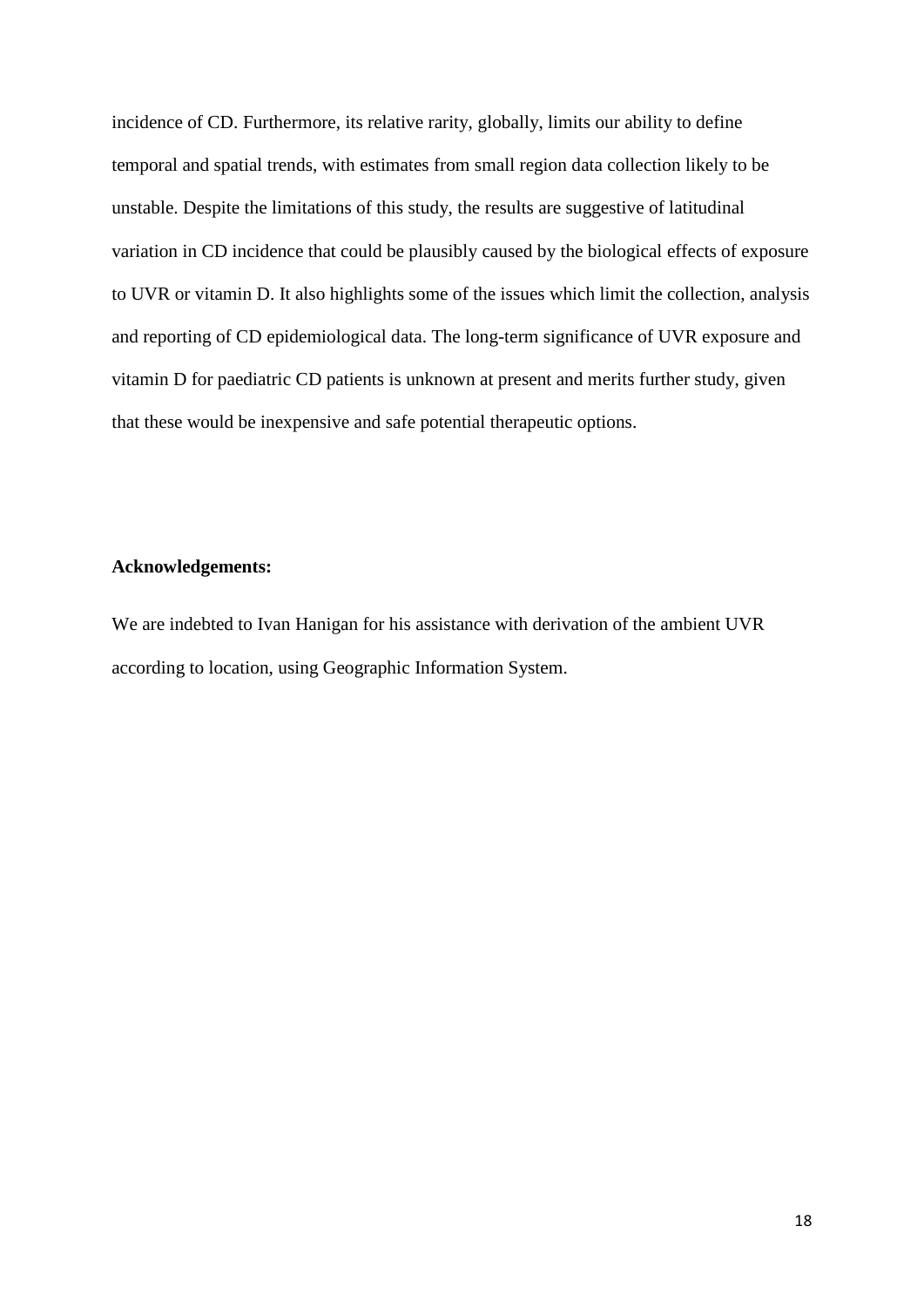incidence of CD. Furthermore, its relative rarity, globally, limits our ability to define temporal and spatial trends, with estimates from small region data collection likely to be unstable. Despite the limitations of this study, the results are suggestive of latitudinal variation in CD incidence that could be plausibly caused by the biological effects of exposure to UVR or vitamin D. It also highlights some of the issues which limit the collection, analysis and reporting of CD epidemiological data. The long-term significance of UVR exposure and vitamin D for paediatric CD patients is unknown at present and merits further study, given that these would be inexpensive and safe potential therapeutic options.

### **Acknowledgements:**

We are indebted to Ivan Hanigan for his assistance with derivation of the ambient UVR according to location, using Geographic Information System.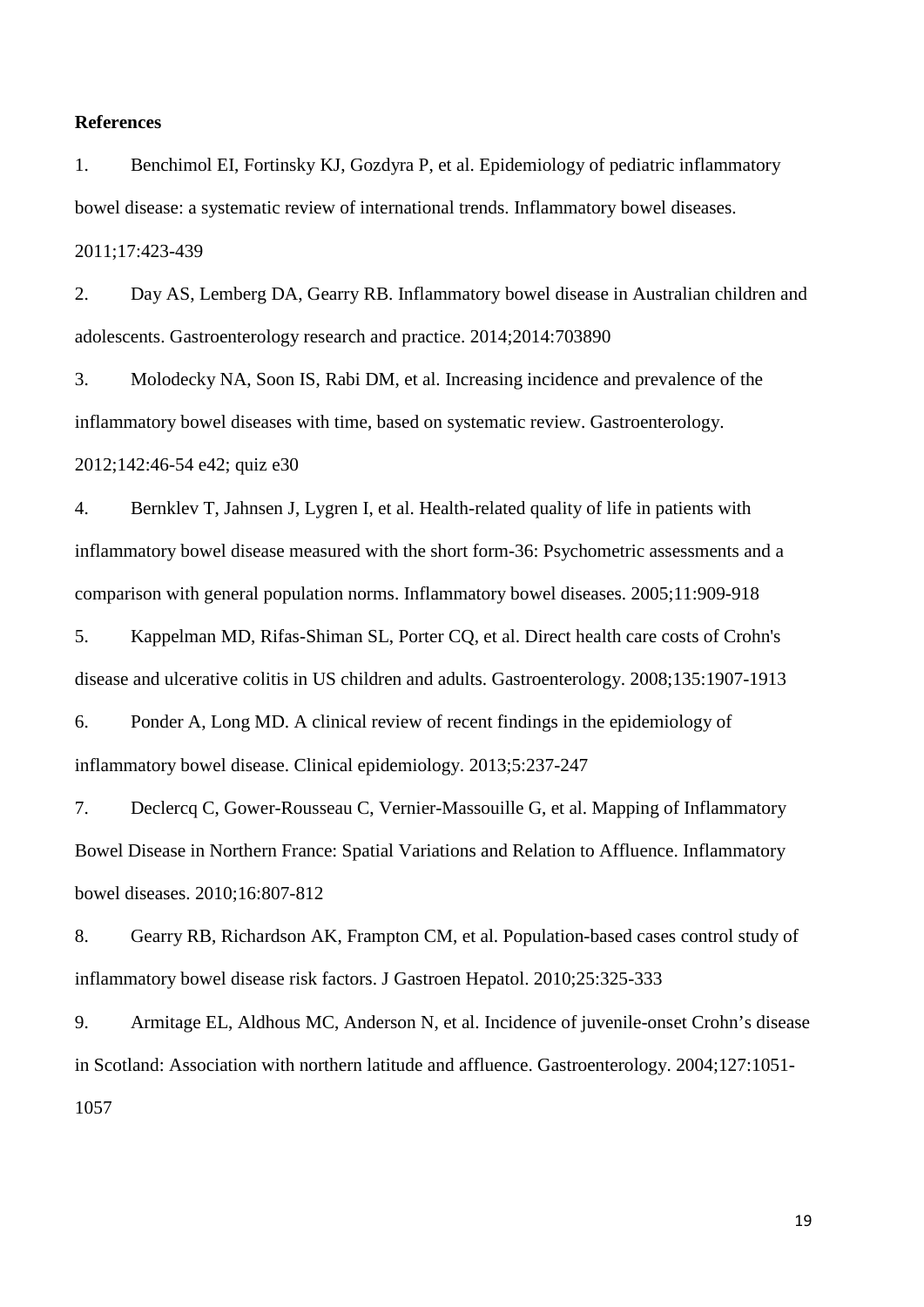#### **References**

<span id="page-18-0"></span>1. Benchimol EI, Fortinsky KJ, Gozdyra P, et al. Epidemiology of pediatric inflammatory bowel disease: a systematic review of international trends. Inflammatory bowel diseases. 2011;17:423-439

<span id="page-18-1"></span>2. Day AS, Lemberg DA, Gearry RB. Inflammatory bowel disease in Australian children and adolescents. Gastroenterology research and practice. 2014;2014:703890

<span id="page-18-2"></span>3. Molodecky NA, Soon IS, Rabi DM, et al. Increasing incidence and prevalence of the inflammatory bowel diseases with time, based on systematic review. Gastroenterology. 2012;142:46-54 e42; quiz e30

<span id="page-18-3"></span>4. Bernklev T, Jahnsen J, Lygren I, et al. Health-related quality of life in patients with inflammatory bowel disease measured with the short form-36: Psychometric assessments and a comparison with general population norms. Inflammatory bowel diseases. 2005;11:909-918

<span id="page-18-4"></span>5. Kappelman MD, Rifas-Shiman SL, Porter CQ, et al. Direct health care costs of Crohn's disease and ulcerative colitis in US children and adults. Gastroenterology. 2008;135:1907-1913

<span id="page-18-5"></span>6. Ponder A, Long MD. A clinical review of recent findings in the epidemiology of inflammatory bowel disease. Clinical epidemiology. 2013;5:237-247

<span id="page-18-6"></span>7. Declercq C, Gower-Rousseau C, Vernier-Massouille G, et al. Mapping of Inflammatory Bowel Disease in Northern France: Spatial Variations and Relation to Affluence. Inflammatory bowel diseases. 2010;16:807-812

<span id="page-18-7"></span>8. Gearry RB, Richardson AK, Frampton CM, et al. Population-based cases control study of inflammatory bowel disease risk factors. J Gastroen Hepatol. 2010;25:325-333

<span id="page-18-8"></span>9. Armitage EL, Aldhous MC, Anderson N, et al. Incidence of juvenile-onset Crohn's disease in Scotland: Association with northern latitude and affluence. Gastroenterology. 2004;127:1051- 1057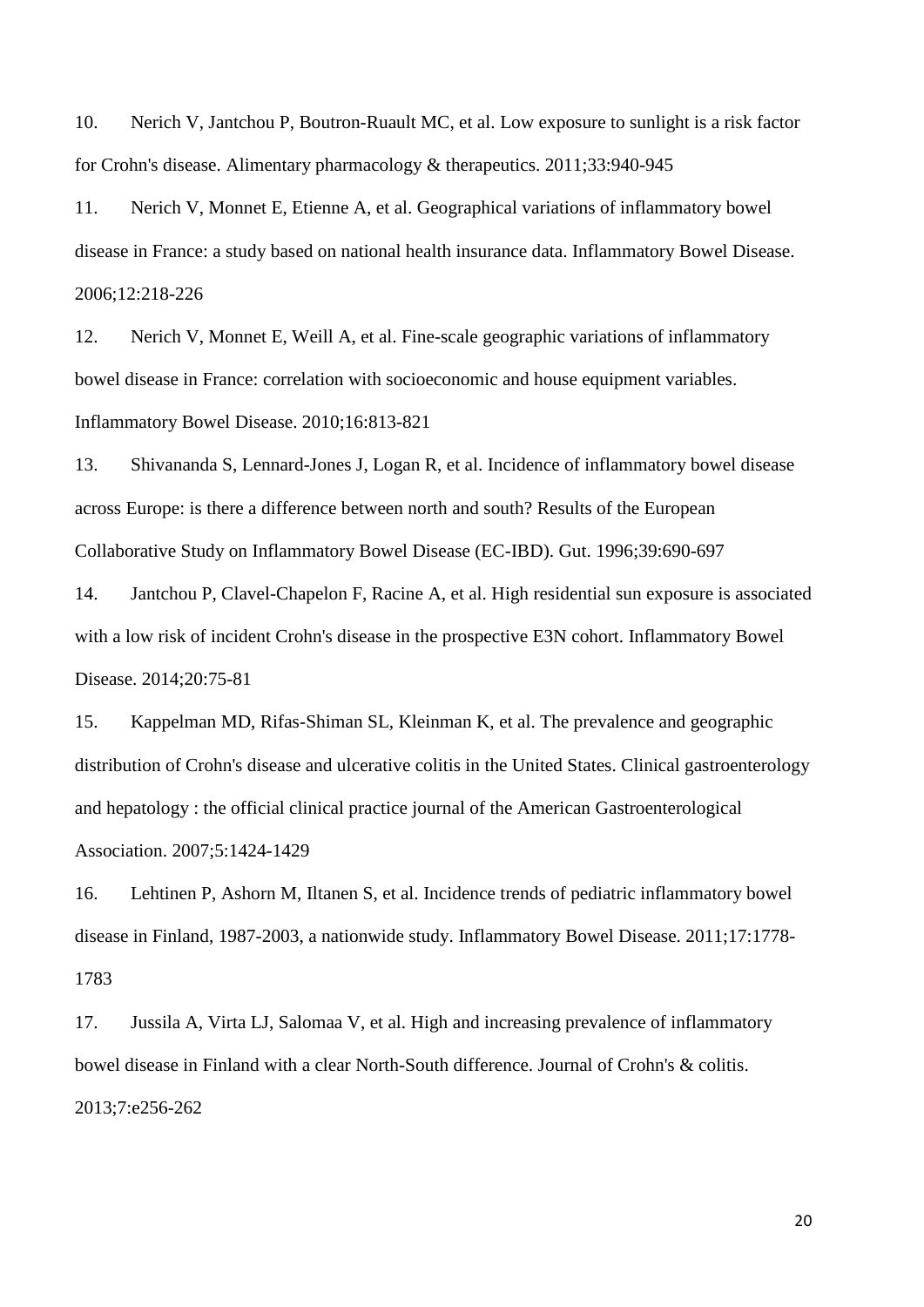<span id="page-19-3"></span>10. Nerich V, Jantchou P, Boutron-Ruault MC, et al. Low exposure to sunlight is a risk factor for Crohn's disease. Alimentary pharmacology & therapeutics. 2011;33:940-945

<span id="page-19-4"></span>11. Nerich V, Monnet E, Etienne A, et al. Geographical variations of inflammatory bowel disease in France: a study based on national health insurance data. Inflammatory Bowel Disease. 2006;12:218-226

<span id="page-19-0"></span>12. Nerich V, Monnet E, Weill A, et al. Fine-scale geographic variations of inflammatory bowel disease in France: correlation with socioeconomic and house equipment variables. Inflammatory Bowel Disease. 2010;16:813-821

<span id="page-19-7"></span>13. Shivananda S, Lennard-Jones J, Logan R, et al. Incidence of inflammatory bowel disease across Europe: is there a difference between north and south? Results of the European Collaborative Study on Inflammatory Bowel Disease (EC-IBD). Gut. 1996;39:690-697

<span id="page-19-1"></span>14. Jantchou P, Clavel-Chapelon F, Racine A, et al. High residential sun exposure is associated with a low risk of incident Crohn's disease in the prospective E3N cohort. Inflammatory Bowel Disease. 2014;20:75-81

<span id="page-19-2"></span>15. Kappelman MD, Rifas-Shiman SL, Kleinman K, et al. The prevalence and geographic distribution of Crohn's disease and ulcerative colitis in the United States. Clinical gastroenterology and hepatology : the official clinical practice journal of the American Gastroenterological Association. 2007;5:1424-1429

<span id="page-19-5"></span>16. Lehtinen P, Ashorn M, Iltanen S, et al. Incidence trends of pediatric inflammatory bowel disease in Finland, 1987-2003, a nationwide study. Inflammatory Bowel Disease. 2011;17:1778- 1783

<span id="page-19-6"></span>17. Jussila A, Virta LJ, Salomaa V, et al. High and increasing prevalence of inflammatory bowel disease in Finland with a clear North-South difference. Journal of Crohn's & colitis. 2013;7:e256-262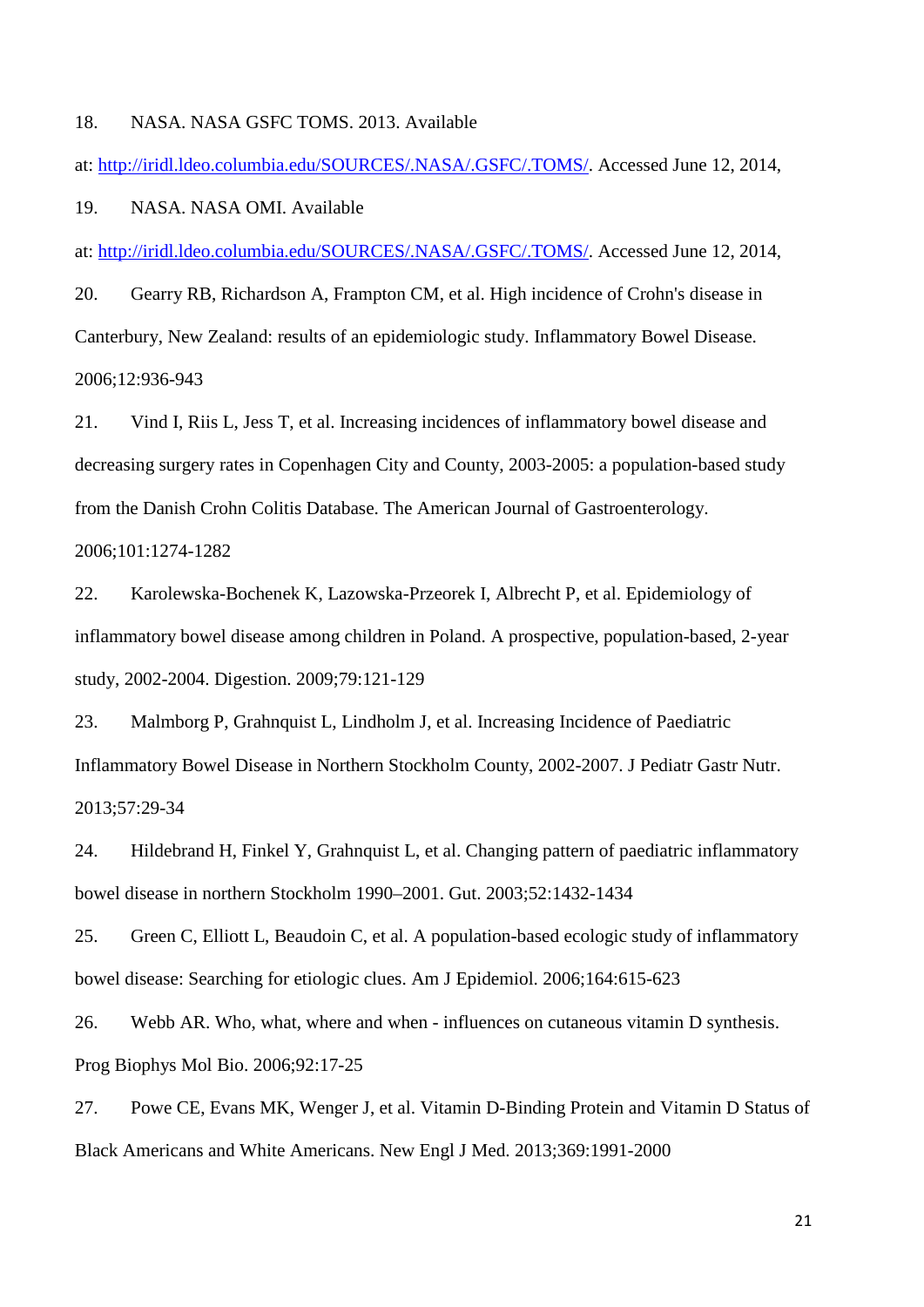#### <span id="page-20-14"></span><span id="page-20-13"></span><span id="page-20-0"></span>18. NASA. NASA GSFC TOMS. 2013. Available

at: [http://iridl.ldeo.columbia.edu/SOURCES/.NASA/.GSFC/.TOMS/.](http://iridl.ldeo.columbia.edu/SOURCES/.NASA/.GSFC/.TOMS/) Accessed June 12, 2014,

<span id="page-20-11"></span><span id="page-20-1"></span>19. NASA. NASA OMI. Available

at: [http://iridl.ldeo.columbia.edu/SOURCES/.NASA/.GSFC/.TOMS/.](http://iridl.ldeo.columbia.edu/SOURCES/.NASA/.GSFC/.TOMS/) Accessed June 12, 2014,

<span id="page-20-12"></span><span id="page-20-2"></span>20. Gearry RB, Richardson A, Frampton CM, et al. High incidence of Crohn's disease in Canterbury, New Zealand: results of an epidemiologic study. Inflammatory Bowel Disease. 2006;12:936-943

<span id="page-20-10"></span><span id="page-20-3"></span>21. Vind I, Riis L, Jess T, et al. Increasing incidences of inflammatory bowel disease and decreasing surgery rates in Copenhagen City and County, 2003-2005: a population-based study from the Danish Crohn Colitis Database. The American Journal of Gastroenterology. 2006;101:1274-1282

<span id="page-20-4"></span>22. Karolewska-Bochenek K, Lazowska-Przeorek I, Albrecht P, et al. Epidemiology of inflammatory bowel disease among children in Poland. A prospective, population-based, 2-year study, 2002-2004. Digestion. 2009;79:121-129

<span id="page-20-5"></span>23. Malmborg P, Grahnquist L, Lindholm J, et al. Increasing Incidence of Paediatric Inflammatory Bowel Disease in Northern Stockholm County, 2002-2007. J Pediatr Gastr Nutr. 2013;57:29-34

<span id="page-20-6"></span>24. Hildebrand H, Finkel Y, Grahnquist L, et al. Changing pattern of paediatric inflammatory bowel disease in northern Stockholm 1990–2001. Gut. 2003;52:1432-1434

<span id="page-20-7"></span>25. Green C, Elliott L, Beaudoin C, et al. A population-based ecologic study of inflammatory bowel disease: Searching for etiologic clues. Am J Epidemiol. 2006;164:615-623

<span id="page-20-8"></span>26. Webb AR. Who, what, where and when - influences on cutaneous vitamin D synthesis. Prog Biophys Mol Bio. 2006;92:17-25

<span id="page-20-9"></span>27. Powe CE, Evans MK, Wenger J, et al. Vitamin D-Binding Protein and Vitamin D Status of Black Americans and White Americans. New Engl J Med. 2013;369:1991-2000

21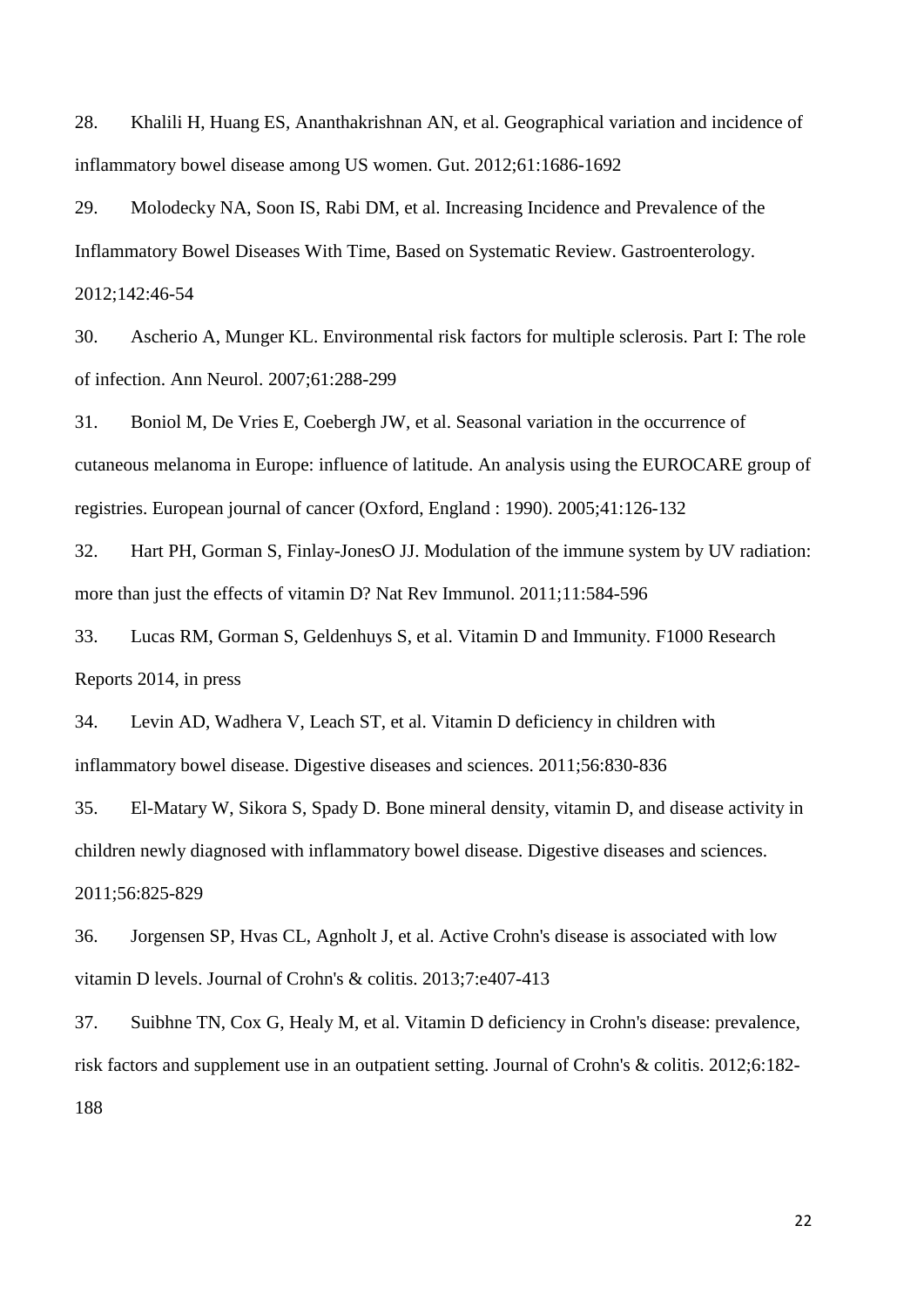<span id="page-21-0"></span>28. Khalili H, Huang ES, Ananthakrishnan AN, et al. Geographical variation and incidence of inflammatory bowel disease among US women. Gut. 2012;61:1686-1692

<span id="page-21-1"></span>29. Molodecky NA, Soon IS, Rabi DM, et al. Increasing Incidence and Prevalence of the Inflammatory Bowel Diseases With Time, Based on Systematic Review. Gastroenterology. 2012;142:46-54

<span id="page-21-2"></span>30. Ascherio A, Munger KL. Environmental risk factors for multiple sclerosis. Part I: The role of infection. Ann Neurol. 2007;61:288-299

<span id="page-21-3"></span>31. Boniol M, De Vries E, Coebergh JW, et al. Seasonal variation in the occurrence of cutaneous melanoma in Europe: influence of latitude. An analysis using the EUROCARE group of registries. European journal of cancer (Oxford, England : 1990). 2005;41:126-132

<span id="page-21-4"></span>32. Hart PH, Gorman S, Finlay-JonesO JJ. Modulation of the immune system by UV radiation: more than just the effects of vitamin D? Nat Rev Immunol. 2011;11:584-596

<span id="page-21-5"></span>33. Lucas RM, Gorman S, Geldenhuys S, et al. Vitamin D and Immunity. F1000 Research Reports 2014, in press

<span id="page-21-6"></span>34. Levin AD, Wadhera V, Leach ST, et al. Vitamin D deficiency in children with inflammatory bowel disease. Digestive diseases and sciences. 2011;56:830-836

<span id="page-21-7"></span>35. El-Matary W, Sikora S, Spady D. Bone mineral density, vitamin D, and disease activity in children newly diagnosed with inflammatory bowel disease. Digestive diseases and sciences. 2011;56:825-829

<span id="page-21-8"></span>36. Jorgensen SP, Hvas CL, Agnholt J, et al. Active Crohn's disease is associated with low vitamin D levels. Journal of Crohn's & colitis. 2013;7:e407-413

<span id="page-21-9"></span>37. Suibhne TN, Cox G, Healy M, et al. Vitamin D deficiency in Crohn's disease: prevalence, risk factors and supplement use in an outpatient setting. Journal of Crohn's & colitis. 2012;6:182- 188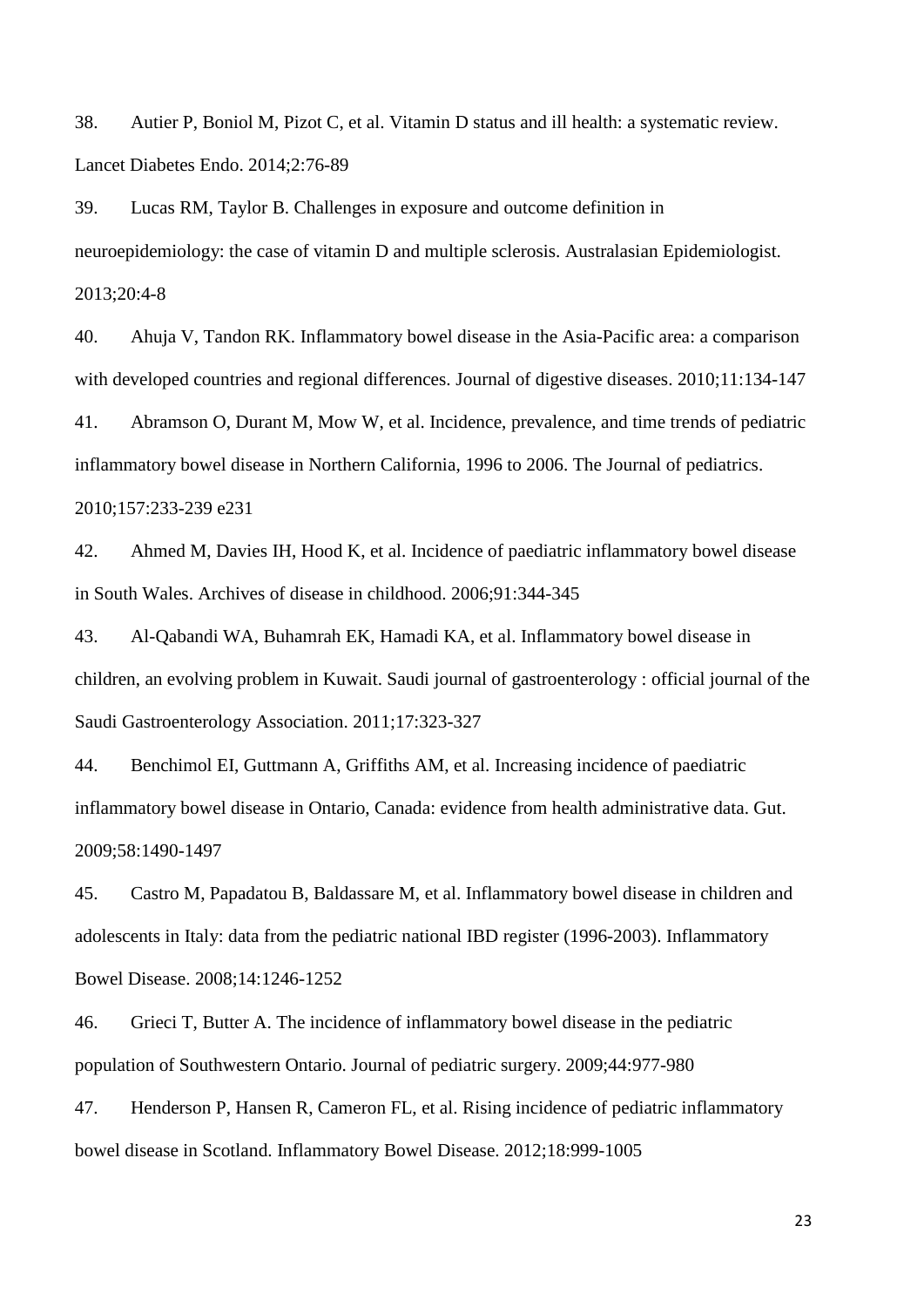<span id="page-22-3"></span><span id="page-22-0"></span>38. Autier P, Boniol M, Pizot C, et al. Vitamin D status and ill health: a systematic review. Lancet Diabetes Endo. 2014;2:76-89

<span id="page-22-5"></span><span id="page-22-4"></span><span id="page-22-1"></span>39. Lucas RM, Taylor B. Challenges in exposure and outcome definition in neuroepidemiology: the case of vitamin D and multiple sclerosis. Australasian Epidemiologist. 2013;20:4-8

<span id="page-22-2"></span>40. Ahuja V, Tandon RK. Inflammatory bowel disease in the Asia-Pacific area: a comparison with developed countries and regional differences. Journal of digestive diseases. 2010;11:134-147

<span id="page-22-6"></span>41. Abramson O, Durant M, Mow W, et al. Incidence, prevalence, and time trends of pediatric inflammatory bowel disease in Northern California, 1996 to 2006. The Journal of pediatrics. 2010;157:233-239 e231

<span id="page-22-7"></span>42. Ahmed M, Davies IH, Hood K, et al. Incidence of paediatric inflammatory bowel disease in South Wales. Archives of disease in childhood. 2006;91:344-345

<span id="page-22-8"></span>43. Al-Qabandi WA, Buhamrah EK, Hamadi KA, et al. Inflammatory bowel disease in children, an evolving problem in Kuwait. Saudi journal of gastroenterology : official journal of the Saudi Gastroenterology Association. 2011;17:323-327

<span id="page-22-9"></span>44. Benchimol EI, Guttmann A, Griffiths AM, et al. Increasing incidence of paediatric inflammatory bowel disease in Ontario, Canada: evidence from health administrative data. Gut. 2009;58:1490-1497

45. Castro M, Papadatou B, Baldassare M, et al. Inflammatory bowel disease in children and adolescents in Italy: data from the pediatric national IBD register (1996-2003). Inflammatory Bowel Disease. 2008;14:1246-1252

46. Grieci T, Butter A. The incidence of inflammatory bowel disease in the pediatric population of Southwestern Ontario. Journal of pediatric surgery. 2009;44:977-980

47. Henderson P, Hansen R, Cameron FL, et al. Rising incidence of pediatric inflammatory bowel disease in Scotland. Inflammatory Bowel Disease. 2012;18:999-1005

23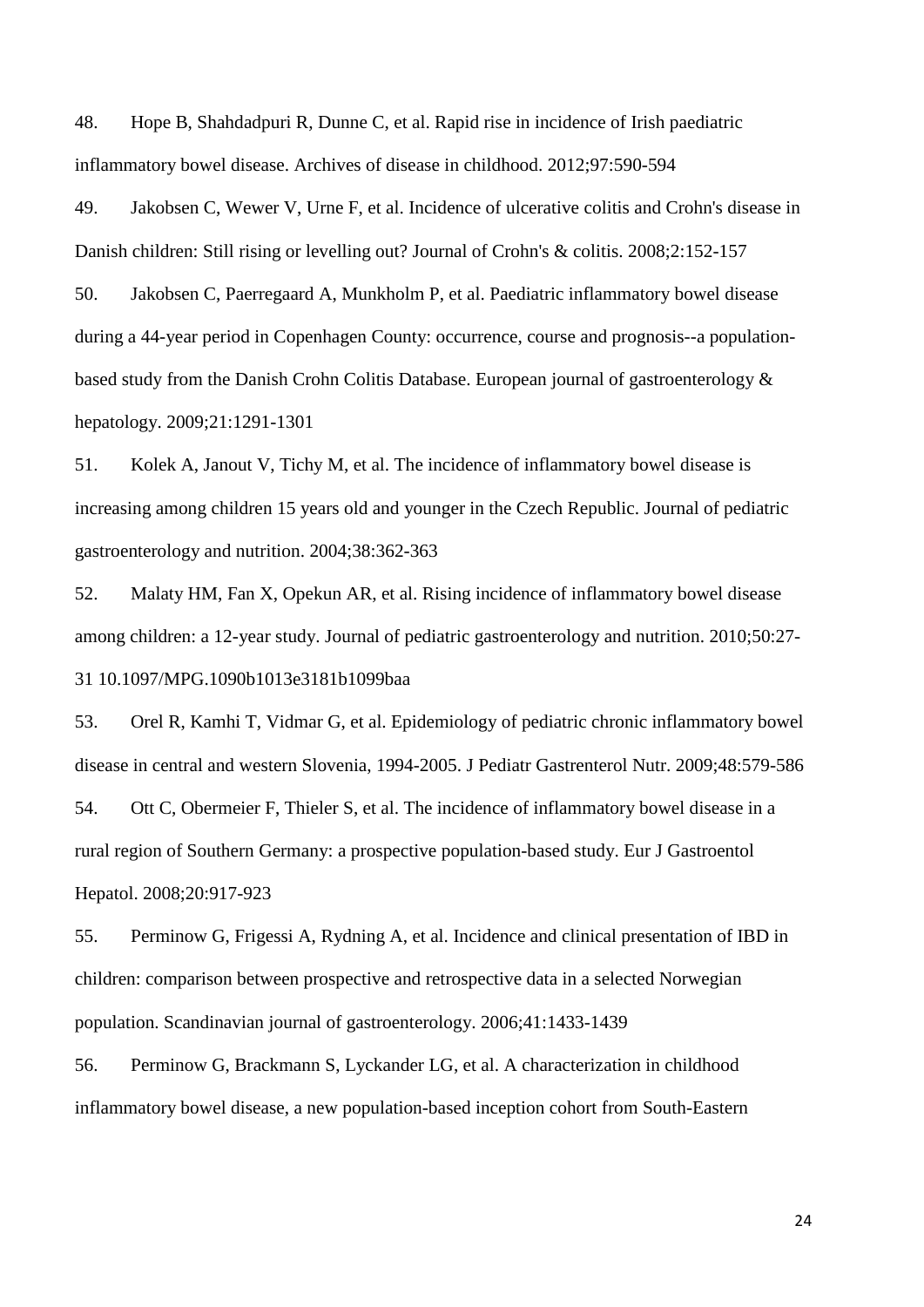<span id="page-23-3"></span><span id="page-23-2"></span><span id="page-23-1"></span><span id="page-23-0"></span>48. Hope B, Shahdadpuri R, Dunne C, et al. Rapid rise in incidence of Irish paediatric inflammatory bowel disease. Archives of disease in childhood. 2012;97:590-594

<span id="page-23-4"></span>49. Jakobsen C, Wewer V, Urne F, et al. Incidence of ulcerative colitis and Crohn's disease in Danish children: Still rising or levelling out? Journal of Crohn's & colitis. 2008;2:152-157

<span id="page-23-5"></span>50. Jakobsen C, Paerregaard A, Munkholm P, et al. Paediatric inflammatory bowel disease during a 44-year period in Copenhagen County: occurrence, course and prognosis--a populationbased study from the Danish Crohn Colitis Database. European journal of gastroenterology & hepatology. 2009;21:1291-1301

<span id="page-23-6"></span>51. Kolek A, Janout V, Tichy M, et al. The incidence of inflammatory bowel disease is increasing among children 15 years old and younger in the Czech Republic. Journal of pediatric gastroenterology and nutrition. 2004;38:362-363

<span id="page-23-7"></span>52. Malaty HM, Fan X, Opekun AR, et al. Rising incidence of inflammatory bowel disease among children: a 12-year study. Journal of pediatric gastroenterology and nutrition. 2010;50:27- 31 10.1097/MPG.1090b1013e3181b1099baa

<span id="page-23-8"></span>53. Orel R, Kamhi T, Vidmar G, et al. Epidemiology of pediatric chronic inflammatory bowel disease in central and western Slovenia, 1994-2005. J Pediatr Gastrenterol Nutr. 2009;48:579-586 54. Ott C, Obermeier F, Thieler S, et al. The incidence of inflammatory bowel disease in a rural region of Southern Germany: a prospective population-based study. Eur J Gastroentol Hepatol. 2008;20:917-923

55. Perminow G, Frigessi A, Rydning A, et al. Incidence and clinical presentation of IBD in children: comparison between prospective and retrospective data in a selected Norwegian population. Scandinavian journal of gastroenterology. 2006;41:1433-1439

56. Perminow G, Brackmann S, Lyckander LG, et al. A characterization in childhood inflammatory bowel disease, a new population-based inception cohort from South-Eastern

24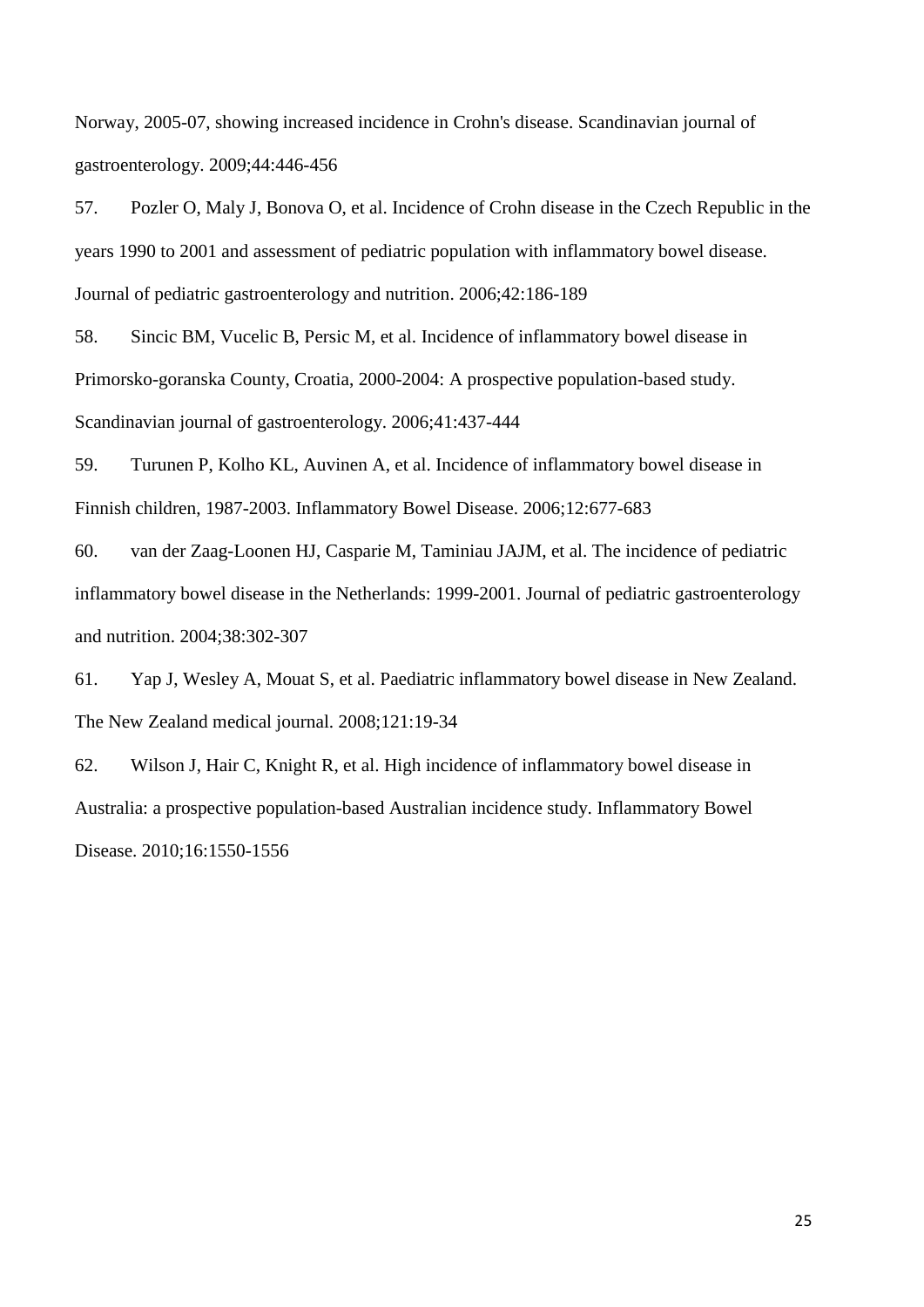<span id="page-24-2"></span><span id="page-24-1"></span><span id="page-24-0"></span>Norway, 2005-07, showing increased incidence in Crohn's disease. Scandinavian journal of gastroenterology. 2009;44:446-456

<span id="page-24-3"></span>57. Pozler O, Maly J, Bonova O, et al. Incidence of Crohn disease in the Czech Republic in the years 1990 to 2001 and assessment of pediatric population with inflammatory bowel disease. Journal of pediatric gastroenterology and nutrition. 2006;42:186-189

<span id="page-24-5"></span><span id="page-24-4"></span>58. Sincic BM, Vucelic B, Persic M, et al. Incidence of inflammatory bowel disease in Primorsko-goranska County, Croatia, 2000-2004: A prospective population-based study. Scandinavian journal of gastroenterology. 2006;41:437-444

59. Turunen P, Kolho KL, Auvinen A, et al. Incidence of inflammatory bowel disease in Finnish children, 1987-2003. Inflammatory Bowel Disease. 2006;12:677-683

60. van der Zaag-Loonen HJ, Casparie M, Taminiau JAJM, et al. The incidence of pediatric inflammatory bowel disease in the Netherlands: 1999-2001. Journal of pediatric gastroenterology and nutrition. 2004;38:302-307

61. Yap J, Wesley A, Mouat S, et al. Paediatric inflammatory bowel disease in New Zealand. The New Zealand medical journal. 2008;121:19-34

62. Wilson J, Hair C, Knight R, et al. High incidence of inflammatory bowel disease in Australia: a prospective population-based Australian incidence study. Inflammatory Bowel Disease. 2010;16:1550-1556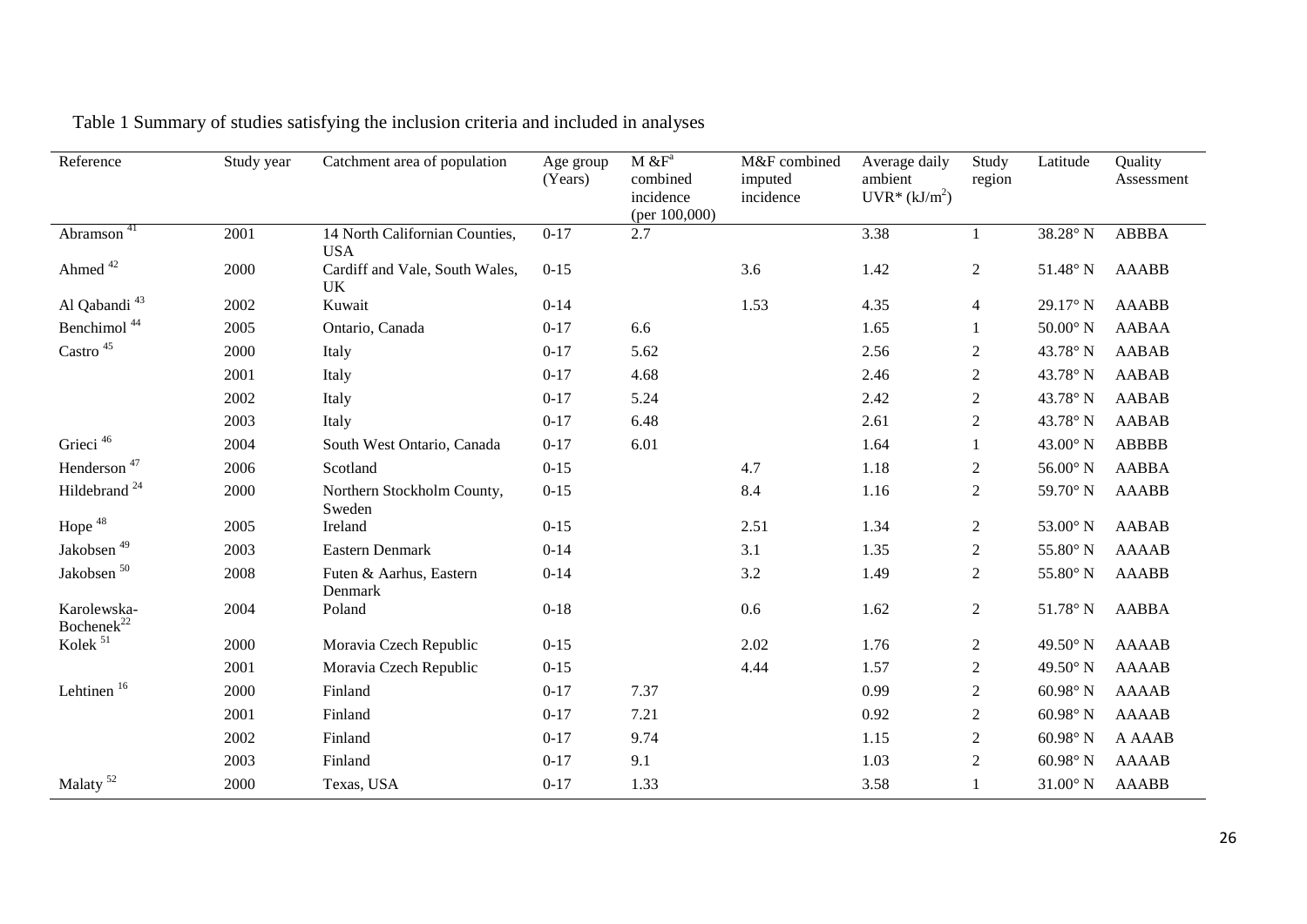| Reference                      | Study year | Catchment area of population                 | Age group<br>(Years) | $M \& F^a$<br>combined<br>incidence<br>(per $100,000$ ) | M&F combined<br>imputed<br>incidence | Average daily<br>ambient<br>$UVR^*(kJ/m^2)$ | Study<br>region | Latitude           | Quality<br>Assessment |
|--------------------------------|------------|----------------------------------------------|----------------------|---------------------------------------------------------|--------------------------------------|---------------------------------------------|-----------------|--------------------|-----------------------|
| Abramson <sup>41</sup>         | 2001       | 14 North Californian Counties,<br><b>USA</b> | $0 - 17$             | 2.7                                                     |                                      | 3.38                                        | $\mathbf{1}$    | 38.28° N           | <b>ABBBA</b>          |
| Ahmed <sup>42</sup>            | 2000       | Cardiff and Vale, South Wales,<br><b>UK</b>  | $0 - 15$             |                                                         | 3.6                                  | 1.42                                        | $\sqrt{2}$      | $51.48^\circ$ N    | <b>AAABB</b>          |
| Al Qabandi <sup>43</sup>       | 2002       | Kuwait                                       | $0 - 14$             |                                                         | 1.53                                 | 4.35                                        | $\overline{4}$  | $29.17^\circ$ N    | <b>AAABB</b>          |
| Benchimol <sup>44</sup>        | 2005       | Ontario, Canada                              | $0 - 17$             | 6.6                                                     |                                      | 1.65                                        | 1               | $50.00^\circ$ N    | <b>AABAA</b>          |
| $\mbox{Castro}$ $^{45}$        | 2000       | Italy                                        | $0 - 17$             | 5.62                                                    |                                      | 2.56                                        | 2               | 43.78° N           | <b>AABAB</b>          |
|                                | 2001       | Italy                                        | $0 - 17$             | 4.68                                                    |                                      | 2.46                                        | $\sqrt{2}$      | 43.78° N           | <b>AABAB</b>          |
|                                | 2002       | Italy                                        | $0 - 17$             | 5.24                                                    |                                      | 2.42                                        | $\mathfrak{2}$  | 43.78° N           | AABAB                 |
|                                | 2003       | Italy                                        | $0 - 17$             | 6.48                                                    |                                      | 2.61                                        | $\sqrt{2}$      | 43.78° N           | <b>AABAB</b>          |
| Grieci <sup>46</sup>           | 2004       | South West Ontario, Canada                   | $0 - 17$             | 6.01                                                    |                                      | 1.64                                        |                 | 43.00° N           | <b>ABBBB</b>          |
| Henderson <sup>47</sup>        | 2006       | Scotland                                     | $0 - 15$             |                                                         | 4.7                                  | 1.18                                        | $\overline{2}$  | $56.00^\circ$ N    | <b>AABBA</b>          |
| Hildebrand <sup>24</sup>       | 2000       | Northern Stockholm County,<br>Sweden         | $0 - 15$             |                                                         | 8.4                                  | 1.16                                        | $\overline{2}$  | 59.70° N           | <b>AAABB</b>          |
| Hope <sup>48</sup>             | 2005       | Ireland                                      | $0 - 15$             |                                                         | 2.51                                 | 1.34                                        | $\overline{c}$  | $53.00^\circ$ N    | <b>AABAB</b>          |
| Jakobsen $^{\rm 49}$           | 2003       | Eastern Denmark                              | $0 - 14$             |                                                         | 3.1                                  | 1.35                                        | $\mathfrak{2}$  | $55.80^\circ$ N    | <b>AAAAB</b>          |
| Jakobsen $^{\rm 50}$           | 2008       | Futen & Aarhus, Eastern<br>Denmark           | $0 - 14$             |                                                         | 3.2                                  | 1.49                                        | $\overline{2}$  | $55.80^\circ$ N    | <b>AAABB</b>          |
| Karolewska-<br>$Bochenek^{22}$ | 2004       | Poland                                       | $0 - 18$             |                                                         | 0.6                                  | 1.62                                        | $\overline{2}$  | $51.78^\circ$ N    | <b>AABBA</b>          |
| Kolek <sup>51</sup>            | 2000       | Moravia Czech Republic                       | $0 - 15$             |                                                         | 2.02                                 | 1.76                                        | 2               | 49.50 $\degree$ N  | AAAAB                 |
|                                | 2001       | Moravia Czech Republic                       | $0 - 15$             |                                                         | 4.44                                 | 1.57                                        | $\overline{2}$  | 49.50° N           | <b>AAAAB</b>          |
| Lehtinen <sup>16</sup>         | 2000       | Finland                                      | $0 - 17$             | 7.37                                                    |                                      | 0.99                                        | $\sqrt{2}$      | 60.98 $^{\circ}$ N | <b>AAAAB</b>          |
|                                | 2001       | Finland                                      | $0 - 17$             | 7.21                                                    |                                      | 0.92                                        | $\overline{2}$  | 60.98 $^{\circ}$ N | <b>AAAAB</b>          |
|                                | 2002       | Finland                                      | $0 - 17$             | 9.74                                                    |                                      | 1.15                                        | 2               | $60.98^\circ$ N    | A AAAB                |
|                                | 2003       | Finland                                      | $0 - 17$             | 9.1                                                     |                                      | 1.03                                        | $\sqrt{2}$      | $60.98^\circ$ N    | <b>AAAAB</b>          |
| Malaty <sup>52</sup>           | 2000       | Texas, USA                                   | $0 - 17$             | 1.33                                                    |                                      | 3.58                                        | 1               | $31.00^\circ$ N    | <b>AAABB</b>          |

Table 1 Summary of studies satisfying the inclusion criteria and included in analyses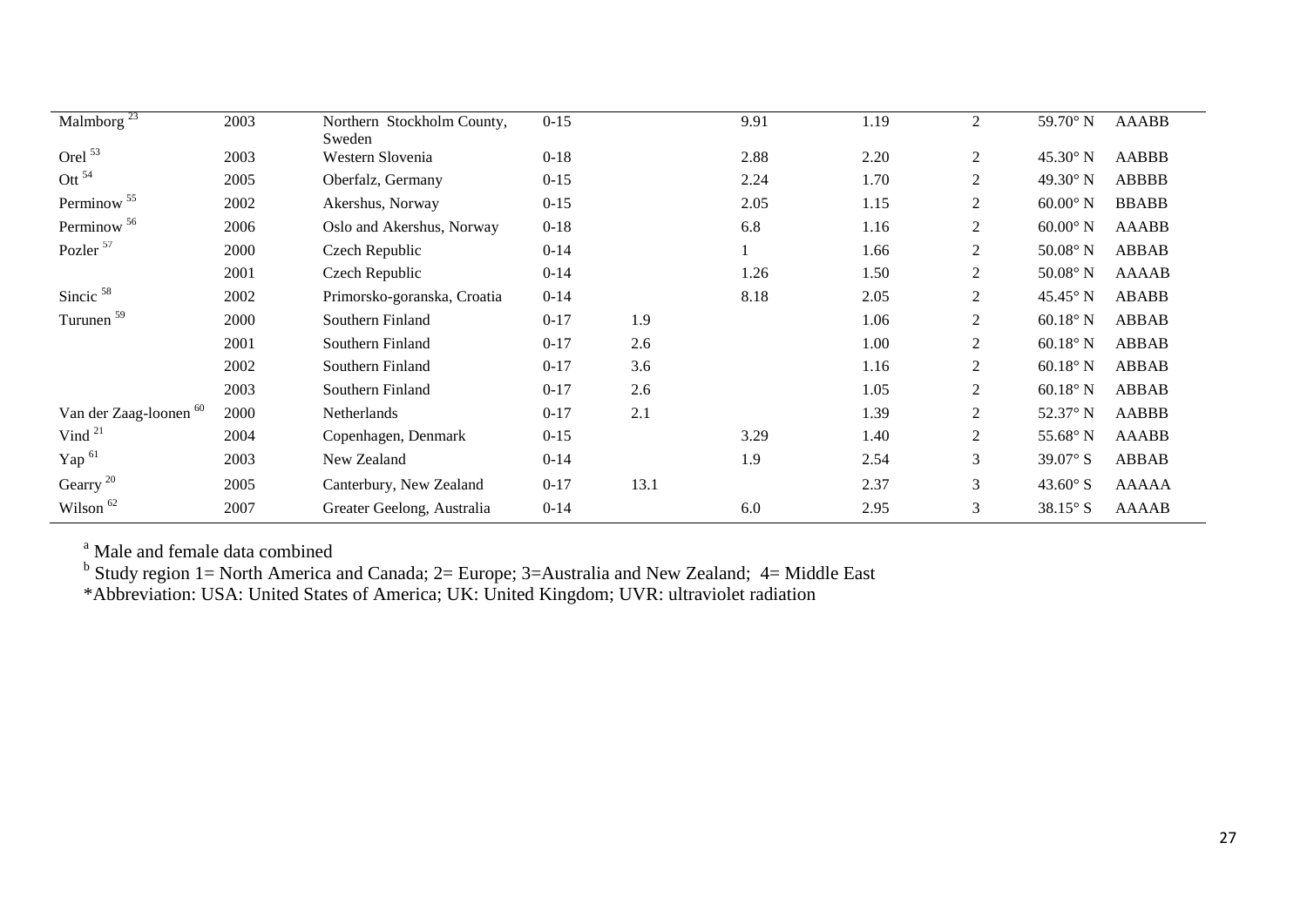| Malmborg $^{23}$                  | 2003 | Northern Stockholm County,  | $0 - 15$ |      | 9.91 | 1.19 | 2              | 59.70° N          | <b>AAABB</b> |
|-----------------------------------|------|-----------------------------|----------|------|------|------|----------------|-------------------|--------------|
| Orel <sup>53</sup>                | 2003 | Sweden<br>Western Slovenia  | $0 - 18$ |      | 2.88 | 2.20 | $\overline{2}$ | $45.30^\circ$ N   | AABBB        |
| Ott $^{54}$                       | 2005 | Oberfalz, Germany           | $0 - 15$ |      | 2.24 | 1.70 | 2              | 49.30° N          | <b>ABBBB</b> |
| Perminow <sup>55</sup>            | 2002 | Akershus, Norway            | $0 - 15$ |      | 2.05 | 1.15 | 2              | $60.00^\circ$ N   | <b>BBABB</b> |
| Perminow <sup>56</sup>            | 2006 | Oslo and Akershus, Norway   | $0 - 18$ |      | 6.8  | 1.16 | 2              | $60.00^\circ$ N   | <b>AAABB</b> |
| Pozler <sup>57</sup>              | 2000 | Czech Republic              | $0 - 14$ |      |      | 1.66 | 2              | $50.08^\circ$ N   | ABBAB        |
|                                   | 2001 | Czech Republic              | $0 - 14$ |      | 1.26 | 1.50 | $\overline{2}$ | $50.08^\circ$ N   | <b>AAAAB</b> |
| Sincic <sup>58</sup>              | 2002 | Primorsko-goranska, Croatia | $0 - 14$ |      | 8.18 | 2.05 | 2              | $45.45^{\circ}$ N | ABABB        |
| Turunen <sup>59</sup>             | 2000 | Southern Finland            | $0 - 17$ | 1.9  |      | 1.06 | 2              | $60.18^\circ$ N   | ABBAB        |
|                                   | 2001 | Southern Finland            | $0-17$   | 2.6  |      | 1.00 | 2              | $60.18^\circ$ N   | ABBAB        |
|                                   | 2002 | Southern Finland            | $0 - 17$ | 3.6  |      | 1.16 | 2              | $60.18^\circ$ N   | ABBAB        |
|                                   | 2003 | Southern Finland            | $0 - 17$ | 2.6  |      | 1.05 | $\overline{2}$ | $60.18^\circ$ N   | ABBAB        |
| Van der Zaag-loonen <sup>60</sup> | 2000 | Netherlands                 | $0 - 17$ | 2.1  |      | 1.39 | 2              | 52.37° N          | AABBB        |
| Vind $21$                         | 2004 | Copenhagen, Denmark         | $0 - 15$ |      | 3.29 | 1.40 | 2              | 55.68° N          | AAABB        |
| Yap <sup>61</sup>                 | 2003 | New Zealand                 | $0 - 14$ |      | 1.9  | 2.54 | 3              | $39.07^{\circ}$ S | ABBAB        |
| Gearry <sup>20</sup>              | 2005 | Canterbury, New Zealand     | $0 - 17$ | 13.1 |      | 2.37 | 3              | 43.60 $\degree$ S | AAAAA        |
| Wilson <sup>62</sup>              | 2007 | Greater Geelong, Australia  | $0 - 14$ |      | 6.0  | 2.95 | 3              | $38.15^\circ$ S   | <b>AAAAB</b> |
|                                   |      |                             |          |      |      |      |                |                   |              |

<sup>a</sup> Male and female data combined

<sup>b</sup> Study region 1= North America and Canada; 2= Europe; 3=Australia and New Zealand; 4= Middle East

\*Abbreviation: USA: United States of America; UK: United Kingdom; UVR: ultraviolet radiation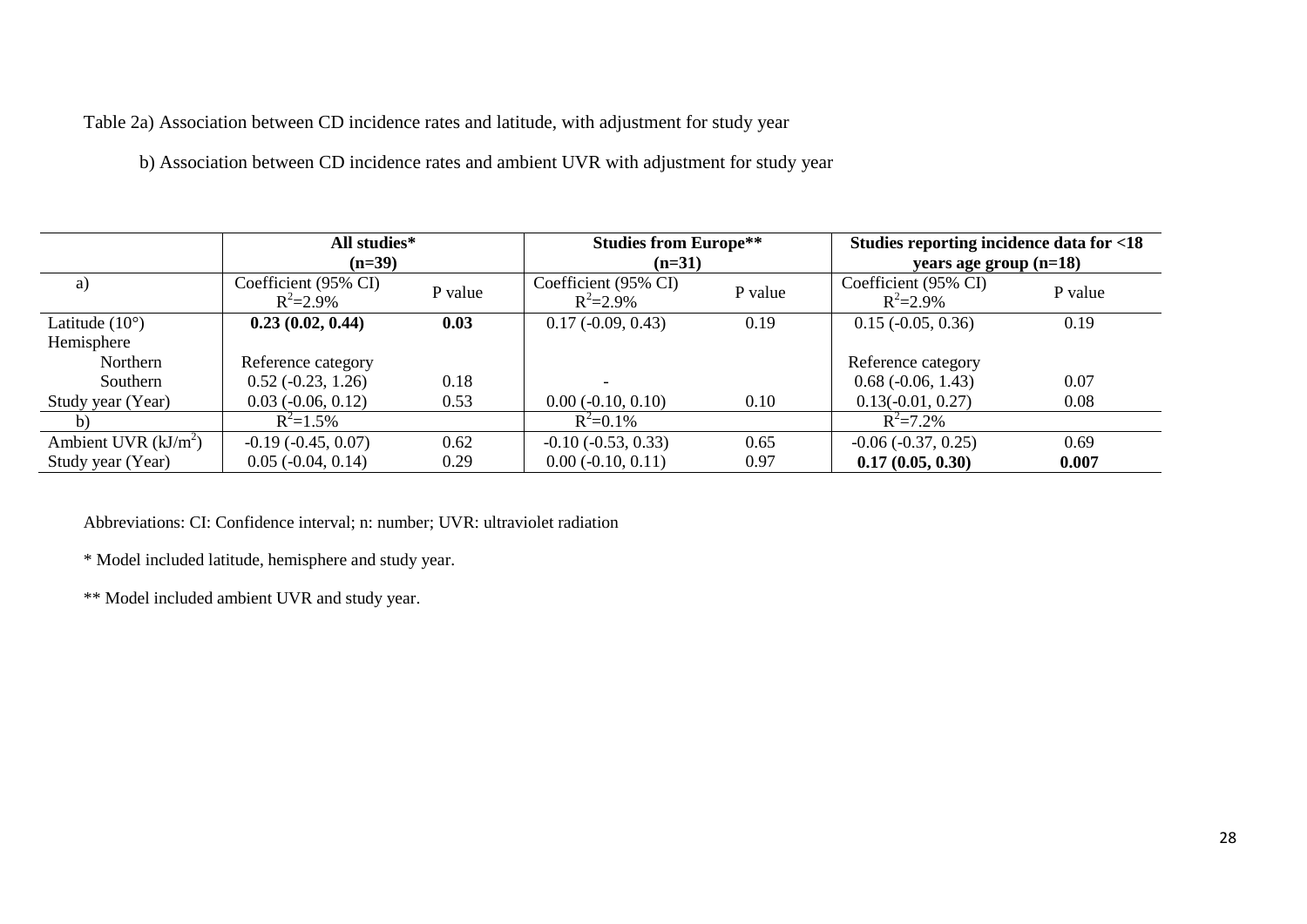Table 2a) Association between CD incidence rates and latitude, with adjustment for study year

b) Association between CD incidence rates and ambient UVR with adjustment for study year

|                         | All studies*<br>$(n=39)$              |         | <b>Studies from Europe**</b><br>$(n=31)$ |         | Studies reporting incidence data for <18<br>years age group $(n=18)$ |         |  |
|-------------------------|---------------------------------------|---------|------------------------------------------|---------|----------------------------------------------------------------------|---------|--|
| a)                      | Coefficient (95% CI)<br>$R^2 = 2.9\%$ | P value | Coefficient (95% CI)<br>$R^2 = 2.9\%$    | P value | Coefficient (95% CI)<br>$R^2 = 2.9\%$                                | P value |  |
| Latitude $(10^{\circ})$ | 0.23(0.02, 0.44)                      | 0.03    | $0.17(-0.09, 0.43)$                      | 0.19    | $0.15$ ( $-0.05$ , $0.36$ )                                          | 0.19    |  |
| Hemisphere              |                                       |         |                                          |         |                                                                      |         |  |
| Northern                | Reference category                    |         |                                          |         | Reference category                                                   |         |  |
| Southern                | $0.52(-0.23, 1.26)$                   | 0.18    |                                          |         | $0.68$ ( $-0.06$ , 1.43)                                             | 0.07    |  |
| Study year (Year)       | $0.03$ ( $-0.06$ , $0.12$ )           | 0.53    | $0.00 (-0.10, 0.10)$                     | 0.10    | $0.13(-0.01, 0.27)$                                                  | 0.08    |  |
| b)                      | $R^2 = 1.5\%$                         |         | $R^2 = 0.1\%$                            |         | $R^2 = 7.2\%$                                                        |         |  |
| Ambient UVR $(kJ/m2)$   | $-0.19(-0.45, 0.07)$                  | 0.62    | $-0.10$ $(-0.53, 0.33)$                  | 0.65    | $-0.06 (-0.37, 0.25)$                                                | 0.69    |  |
| Study year (Year)       | $0.05$ ( $-0.04$ , $0.14$ )           | 0.29    | $0.00(-0.10, 0.11)$                      | 0.97    | 0.17(0.05, 0.30)                                                     | 0.007   |  |

Abbreviations: CI: Confidence interval; n: number; UVR: ultraviolet radiation

\* Model included latitude, hemisphere and study year.

\*\* Model included ambient UVR and study year.